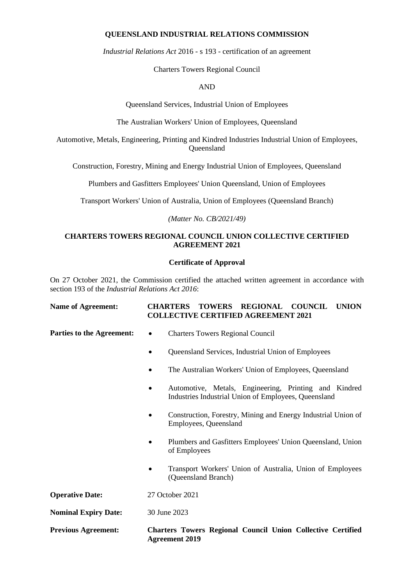# **QUEENSLAND INDUSTRIAL RELATIONS COMMISSION**

*Industrial Relations Act* 2016 *-* s 193 - certification of an agreement

Charters Towers Regional Council

# AND

Queensland Services, Industrial Union of Employees

The Australian Workers' Union of Employees, Queensland

Automotive, Metals, Engineering, Printing and Kindred Industries Industrial Union of Employees, Queensland

Construction, Forestry, Mining and Energy Industrial Union of Employees, Queensland

Plumbers and Gasfitters Employees' Union Queensland, Union of Employees

Transport Workers' Union of Australia, Union of Employees (Queensland Branch)

*(Matter No. CB/2021/49)*

# **CHARTERS TOWERS REGIONAL COUNCIL UNION COLLECTIVE CERTIFIED AGREEMENT 2021**

# **Certificate of Approval**

On 27 October 2021, the Commission certified the attached written agreement in accordance with section 193 of the *Industrial Relations Act 2016*:

| <b>Name of Agreement:</b> |  | CHARTERS TOWERS REGIONAL COUNCIL UNION     |  |
|---------------------------|--|--------------------------------------------|--|
|                           |  | <b>COLLECTIVE CERTIFIED AGREEMENT 2021</b> |  |

- **Parties to the Agreement:** Charters Towers Regional Council
	- Queensland Services, Industrial Union of Employees
	- The Australian Workers' Union of Employees, Queensland
	- Automotive, Metals, Engineering, Printing and Kindred Industries Industrial Union of Employees, Queensland
	- Construction, Forestry, Mining and Energy Industrial Union of Employees, Queensland
	- Plumbers and Gasfitters Employees' Union Queensland, Union of Employees
	- Transport Workers' Union of Australia, Union of Employees (Queensland Branch)

**Operative Date:** 27 October 2021

**Nominal Expiry Date:** 30 June 2023

**Previous Agreement: Charters Towers Regional Council Union Collective Certified Agreement 2019**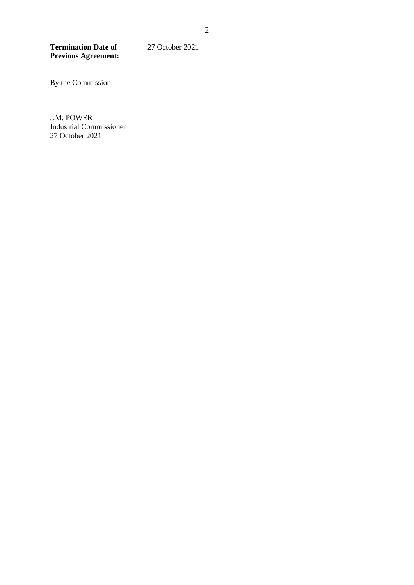**Termination Date of Previous Agreement:** 27 October 2021

By the Commission

J.M. POWER Industrial Commissioner 27 October 2021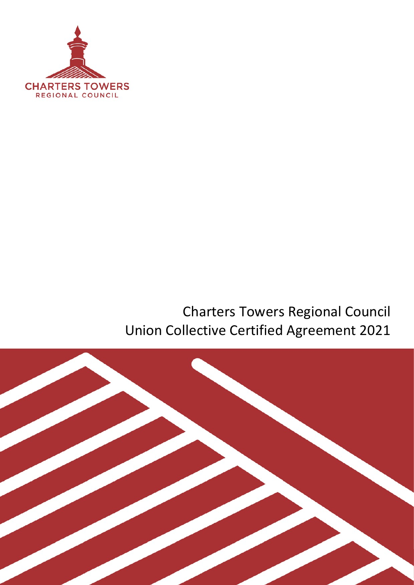

# Charters Towers Regional Council Union Collective Certified Agreement 2021

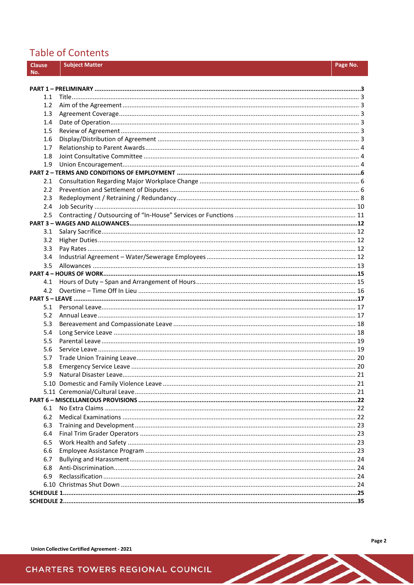# **Table of Contents**

| <b>Clause</b> |     | <b>Subject Matter</b> | Page No. |
|---------------|-----|-----------------------|----------|
| No.           |     |                       |          |
|               |     |                       |          |
|               |     |                       |          |
|               | 1.1 |                       |          |
|               | 1.2 |                       |          |
|               | 1.3 |                       |          |
|               | 1.4 |                       |          |
|               | 1.5 |                       |          |
|               | 1.6 |                       |          |
|               | 1.7 |                       |          |
|               | 1.8 |                       |          |
|               | 1.9 |                       |          |
|               | 2.1 |                       |          |
|               | 2.2 |                       |          |
|               | 2.3 |                       |          |
|               | 2.4 |                       |          |
|               | 2.5 |                       |          |
|               |     |                       |          |
|               | 3.1 |                       |          |
|               | 3.2 |                       |          |
|               | 3.3 |                       |          |
|               | 3.4 |                       |          |
|               | 3.5 |                       |          |
|               |     |                       |          |
|               | 4.1 |                       |          |
|               | 4.2 |                       |          |
|               |     |                       |          |
|               | 5.1 |                       |          |
|               | 5.2 |                       |          |
|               | 5.3 |                       |          |
|               | 5.4 |                       |          |
|               | 5.5 |                       |          |
|               | 5.6 |                       |          |
|               | 5.7 |                       |          |
|               | 5.8 |                       |          |
|               | 5.9 |                       |          |
|               |     |                       |          |
|               |     |                       |          |
|               |     |                       |          |
|               | 6.1 |                       |          |
|               | 6.2 |                       |          |
|               | 6.3 |                       |          |
|               | 6.4 |                       |          |
|               | 6.5 |                       |          |
|               | 6.6 |                       |          |
|               | 6.7 |                       |          |
|               | 6.8 |                       |          |
|               | 6.9 |                       |          |
|               |     |                       |          |
|               |     |                       |          |
|               |     |                       |          |

 $\sqrt{2}$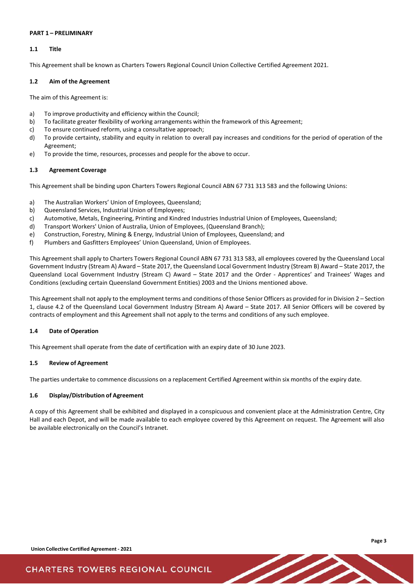#### <span id="page-4-0"></span>**PART 1 – PRELIMINARY**

### <span id="page-4-1"></span>**1.1 Title**

This Agreement shall be known as Charters Towers Regional Council Union Collective Certified Agreement 2021.

#### <span id="page-4-2"></span>**1.2 Aim of the Agreement**

The aim of this Agreement is:

- a) To improve productivity and efficiency within the Council;
- b) To facilitate greater flexibility of working arrangements within the framework of this Agreement;
- c) To ensure continued reform, using a consultative approach;
- d) To provide certainty, stability and equity in relation to overall pay increases and conditions for the period of operation of the Agreement;
- e) To provide the time, resources, processes and people for the above to occur.

### <span id="page-4-3"></span>**1.3 Agreement Coverage**

This Agreement shall be binding upon Charters Towers Regional Council ABN 67 731 313 583 and the following Unions:

- a) The Australian Workers' Union of Employees, Queensland;
- b) Queensland Services, Industrial Union of Employees;
- c) Automotive, Metals, Engineering, Printing and Kindred Industries Industrial Union of Employees, Queensland;
- d) Transport Workers' Union of Australia, Union of Employees, (Queensland Branch);
- e) Construction, Forestry, Mining & Energy, Industrial Union of Employees, Queensland; and
- f) Plumbers and Gasfitters Employees' Union Queensland, Union of Employees.

This Agreement shall apply to Charters Towers Regional Council ABN 67 731 313 583, all employees covered by the Queensland Local Government Industry (Stream A) Award – State 2017, the Queensland Local Government Industry (Stream B) Award – State 2017, the Queensland Local Government Industry (Stream C) Award – State 2017 and the Order - Apprentices' and Trainees' Wages and Conditions (excluding certain Queensland Government Entities) 2003 and the Unions mentioned above.

This Agreement shall not apply to the employment terms and conditions of those Senior Officers as provided for in Division 2 – Section 1, clause 4.2 of the Queensland Local Government Industry (Stream A) Award – State 2017. All Senior Officers will be covered by contracts of employment and this Agreement shall not apply to the terms and conditions of any such employee.

### <span id="page-4-4"></span>**1.4 Date of Operation**

This Agreement shall operate from the date of certification with an expiry date of 30 June 2023.

#### <span id="page-4-5"></span>**1.5 Review of Agreement**

The parties undertake to commence discussions on a replacement Certified Agreement within six months of the expiry date.

### <span id="page-4-6"></span>**1.6 Display/Distribution of Agreement**

A copy of this Agreement shall be exhibited and displayed in a conspicuous and convenient place at the Administration Centre, City Hall and each Depot, and will be made available to each employee covered by this Agreement on request. The Agreement will also be available electronically on the Council's Intranet.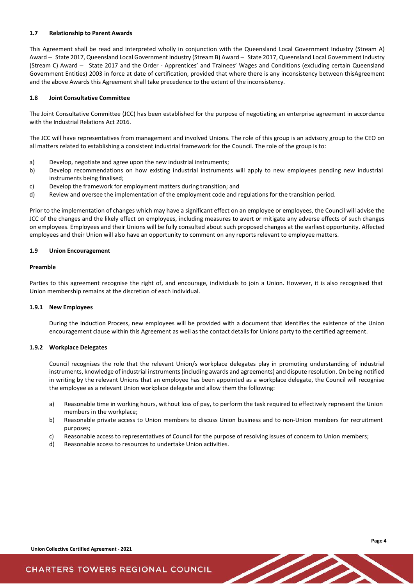#### <span id="page-5-0"></span>**1.7 Relationship to Parent Awards**

This Agreement shall be read and interpreted wholly in conjunction with the Queensland Local Government Industry (Stream A) Award - State 2017, Queensland Local Government Industry (Stream B) Award - State 2017, Queensland Local Government Industry (Stream C) Award - State 2017 and the Order - Apprentices' and Trainees' Wages and Conditions (excluding certain Queensland Government Entities) 2003 in force at date of certification, provided that where there is any inconsistency between thisAgreement and the above Awards this Agreement shall take precedence to the extent of the inconsistency.

#### <span id="page-5-1"></span>**1.8 Joint Consultative Committee**

The Joint Consultative Committee (JCC) has been established for the purpose of negotiating an enterprise agreement in accordance with the Industrial Relations Act 2016.

The JCC will have representatives from management and involved Unions. The role of this group is an advisory group to the CEO on all matters related to establishing a consistent industrial framework for the Council. The role of the group is to:

- a) Develop, negotiate and agree upon the new industrial instruments;
- b) Develop recommendations on how existing industrial instruments will apply to new employees pending new industrial instruments being finalised;
- c) Develop the framework for employment matters during transition; and
- d) Review and oversee the implementation of the employment code and regulations for the transition period.

Prior to the implementation of changes which may have a significant effect on an employee or employees, the Council will advise the JCC of the changes and the likely effect on employees, including measures to avert or mitigate any adverse effects of such changes on employees. Employees and their Unions will be fully consulted about such proposed changes at the earliest opportunity. Affected employees and their Union will also have an opportunity to comment on any reports relevant to employee matters.

#### <span id="page-5-2"></span>**1.9 Union Encouragement**

#### **Preamble**

Parties to this agreement recognise the right of, and encourage, individuals to join a Union. However, it is also recognised that Union membership remains at the discretion of each individual.

#### **1.9.1 New Employees**

During the Induction Process, new employees will be provided with a document that identifies the existence of the Union encouragement clause within this Agreement as well as the contact details for Unions party to the certified agreement.

#### **1.9.2 Workplace Delegates**

Council recognises the role that the relevant Union/s workplace delegates play in promoting understanding of industrial instruments, knowledge of industrial instruments (including awards and agreements) and dispute resolution. On being notified in writing by the relevant Unions that an employee has been appointed as a workplace delegate, the Council will recognise the employee as a relevant Union workplace delegate and allow them the following:

- a) Reasonable time in working hours, without loss of pay, to perform the task required to effectively represent the Union members in the workplace;
- b) Reasonable private access to Union members to discuss Union business and to non-Union members for recruitment purposes;
- c) Reasonable access to representatives of Council for the purpose of resolving issues of concern to Union members;
- d) Reasonable access to resources to undertake Union activities.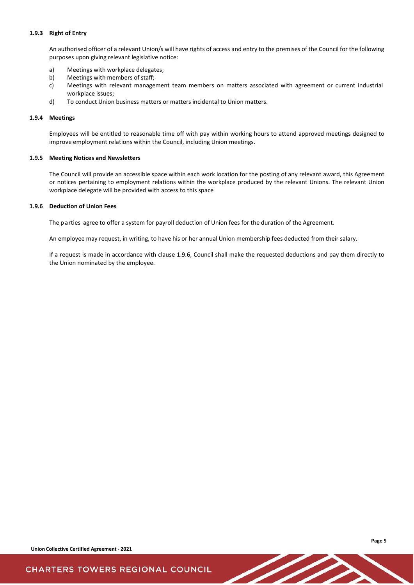#### **1.9.3 Right of Entry**

An authorised officer of a relevant Union/s will have rights of access and entry to the premises of the Council for the following purposes upon giving relevant legislative notice:

- a) Meetings with workplace delegates;
- b) Meetings with members of staff;
- c) Meetings with relevant management team members on matters associated with agreement or current industrial workplace issues;
- d) To conduct Union business matters or matters incidental to Union matters.

#### **1.9.4 Meetings**

Employees will be entitled to reasonable time off with pay within working hours to attend approved meetings designed to improve employment relations within the Council, including Union meetings.

#### **1.9.5 Meeting Notices and Newsletters**

The Council will provide an accessible space within each work location for the posting of any relevant award, this Agreement or notices pertaining to employment relations within the workplace produced by the relevant Unions. The relevant Union workplace delegate will be provided with access to this space

#### **1.9.6 Deduction of Union Fees**

The parties agree to offer a system for payroll deduction of Union fees for the duration of the Agreement.

An employee may request, in writing, to have his or her annual Union membership fees deducted from their salary.

If a request is made in accordance with clause 1.9.6, Council shall make the requested deductions and pay them directly to the Union nominated by the employee.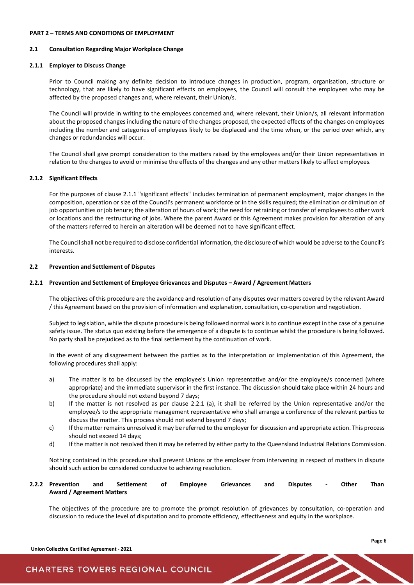#### <span id="page-7-0"></span>**PART 2 – TERMS AND CONDITIONS OF EMPLOYMENT**

#### <span id="page-7-1"></span>**2.1 Consultation Regarding Major Workplace Change**

#### **2.1.1 Employer to Discuss Change**

Prior to Council making any definite decision to introduce changes in production, program, organisation, structure or technology, that are likely to have significant effects on employees, the Council will consult the employees who may be affected by the proposed changes and, where relevant, their Union/s.

The Council will provide in writing to the employees concerned and, where relevant, their Union/s, all relevant information about the proposed changes including the nature of the changes proposed, the expected effects of the changes on employees including the number and categories of employees likely to be displaced and the time when, or the period over which, any changes or redundancies will occur.

The Council shall give prompt consideration to the matters raised by the employees and/or their Union representatives in relation to the changes to avoid or minimise the effects of the changes and any other matters likely to affect employees.

#### **2.1.2 Significant Effects**

For the purposes of clause 2.1.1 "significant effects" includes termination of permanent employment, major changes in the composition, operation or size of the Council's permanent workforce or in the skills required; the elimination or diminution of job opportunities or job tenure; the alteration of hours of work; the need for retraining or transfer of employees to other work or locations and the restructuring of jobs. Where the parent Award or this Agreement makes provision for alteration of any of the matters referred to herein an alteration will be deemed not to have significant effect.

The Council shall not be required to disclose confidential information, the disclosure of which would be adverse to the Council's interests.

#### <span id="page-7-2"></span>**2.2 Prevention and Settlement of Disputes**

#### **2.2.1 Prevention and Settlement of Employee Grievances and Disputes – Award / Agreement Matters**

The objectives of this procedure are the avoidance and resolution of any disputes over matters covered by the relevant Award / this Agreement based on the provision of information and explanation, consultation, co-operation and negotiation.

Subject to legislation, while the dispute procedure is being followed normal work is to continue except in the case of a genuine safety issue. The status quo existing before the emergence of a dispute is to continue whilst the procedure is being followed. No party shall be prejudiced as to the final settlement by the continuation of work.

In the event of any disagreement between the parties as to the interpretation or implementation of this Agreement, the following procedures shall apply:

- a) The matter is to be discussed by the employee's Union representative and/or the employee/s concerned (where appropriate) and the immediate supervisor in the first instance. The discussion should take place within 24 hours and the procedure should not extend beyond 7 days;
- b) If the matter is not resolved as per clause 2.2.1 (a), it shall be referred by the Union representative and/or the employee/s to the appropriate management representative who shall arrange a conference of the relevant parties to discuss the matter. This process should not extend beyond 7 days;
- c) If the matter remains unresolved it may be referred to the employer for discussion and appropriate action. This process should not exceed 14 days;
- d) If the matter is not resolved then it may be referred by either party to the Queensland Industrial Relations Commission.

Nothing contained in this procedure shall prevent Unions or the employer from intervening in respect of matters in dispute should such action be considered conducive to achieving resolution.

### **2.2.2 Prevention and Settlement of Employee Grievances and Disputes - Other Than Award / Agreement Matters**

The objectives of the procedure are to promote the prompt resolution of grievances by consultation, co-operation and discussion to reduce the level of disputation and to promote efficiency, effectiveness and equity in the workplace.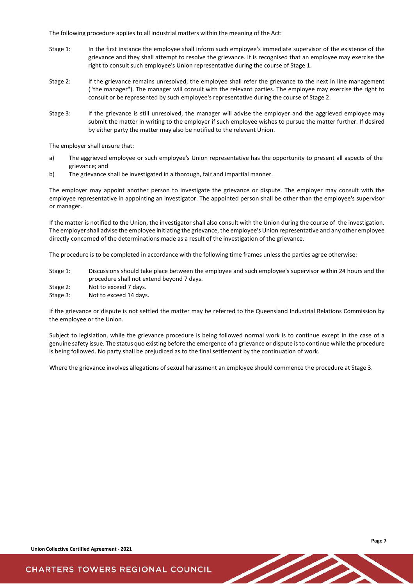The following procedure applies to all industrial matters within the meaning of the Act:

- Stage 1: In the first instance the employee shall inform such employee's immediate supervisor of the existence of the grievance and they shall attempt to resolve the grievance. It is recognised that an employee may exercise the right to consult such employee's Union representative during the course of Stage 1.
- Stage 2: If the grievance remains unresolved, the employee shall refer the grievance to the next in line management ("the manager"). The manager will consult with the relevant parties. The employee may exercise the right to consult or be represented by such employee's representative during the course of Stage 2.
- Stage 3: If the grievance is still unresolved, the manager will advise the employer and the aggrieved employee may submit the matter in writing to the employer if such employee wishes to pursue the matter further. If desired by either party the matter may also be notified to the relevant Union.

The employer shall ensure that:

- a) The aggrieved employee or such employee's Union representative has the opportunity to present all aspects of the grievance; and
- b) The grievance shall be investigated in a thorough, fair and impartial manner.

The employer may appoint another person to investigate the grievance or dispute. The employer may consult with the employee representative in appointing an investigator. The appointed person shall be other than the employee's supervisor or manager.

If the matter is notified to the Union, the investigator shall also consult with the Union during the course of the investigation. The employer shall advise the employee initiating the grievance, the employee's Union representative and any other employee directly concerned of the determinations made as a result of the investigation of the grievance.

The procedure is to be completed in accordance with the following time frames unless the parties agree otherwise:

Stage 1: Discussions should take place between the employee and such employee's supervisor within 24 hours and the procedure shall not extend beyond 7 days.

Stage 2: Not to exceed 7 days.

Stage 3: Not to exceed 14 days.

If the grievance or dispute is not settled the matter may be referred to the Queensland Industrial Relations Commission by the employee or the Union.

Subject to legislation, while the grievance procedure is being followed normal work is to continue except in the case of a genuine safety issue. The status quo existing before the emergence of a grievance or dispute is to continue while the procedure is being followed. No party shall be prejudiced as to the final settlement by the continuation of work.

Where the grievance involves allegations of sexual harassment an employee should commence the procedure at Stage 3.

**Union Collective Certified Agreement - 2021**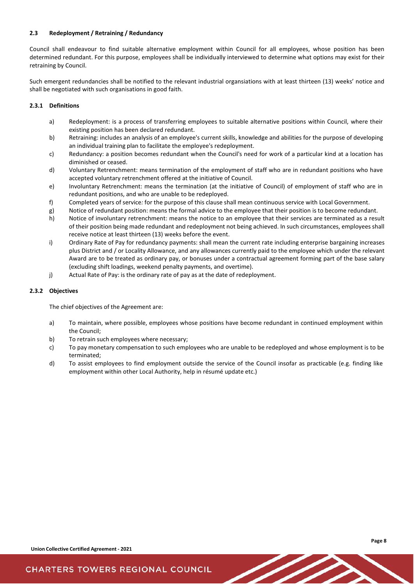### <span id="page-9-0"></span>**2.3 Redeployment / Retraining / Redundancy**

Council shall endeavour to find suitable alternative employment within Council for all employees, whose position has been determined redundant. For this purpose, employees shall be individually interviewed to determine what options may exist for their retraining by Council.

Such emergent redundancies shall be notified to the relevant industrial organsiations with at least thirteen (13) weeks' notice and shall be negotiated with such organisations in good faith.

#### **2.3.1 Definitions**

- a) Redeployment: is a process of transferring employees to suitable alternative positions within Council, where their existing position has been declared redundant.
- b) Retraining: includes an analysis of an employee's current skills, knowledge and abilities for the purpose of developing an individual training plan to facilitate the employee's redeployment.
- c) Redundancy: a position becomes redundant when the Council's need for work of a particular kind at a location has diminished or ceased.
- d) Voluntary Retrenchment: means termination of the employment of staff who are in redundant positions who have accepted voluntary retrenchment offered at the initiative of Council.
- e) Involuntary Retrenchment: means the termination (at the initiative of Council) of employment of staff who are in redundant positions, and who are unable to be redeployed.
- f) Completed years of service*:* for the purpose of this clause shall mean continuous service with Local Government.
- g) Notice of redundant position: means the formal advice to the employee that their position is to become redundant.
- h) Notice of involuntary retrenchment: means the notice to an employee that their services are terminated as a result of their position being made redundant and redeployment not being achieved. In such circumstances, employees shall receive notice at least thirteen (13) weeks before the event.
- i) Ordinary Rate of Pay for redundancy payments: shall mean the current rate including enterprise bargaining increases plus District and / or Locality Allowance, and any allowances currently paid to the employee which under the relevant Award are to be treated as ordinary pay, or bonuses under a contractual agreement forming part of the base salary (excluding shift loadings, weekend penalty payments, and overtime).
- j) Actual Rate of Pay: is the ordinary rate of pay as at the date of redeployment.

#### **2.3.2 Objectives**

The chief objectives of the Agreement are:

- a) To maintain, where possible, employees whose positions have become redundant in continued employment within the Council;
- b) To retrain such employees where necessary;
- c) To pay monetary compensation to such employees who are unable to be redeployed and whose employment is to be terminated;
- d) To assist employees to find employment outside the service of the Council insofar as practicable (e.g. finding like employment within other Local Authority, help in résumé update etc.)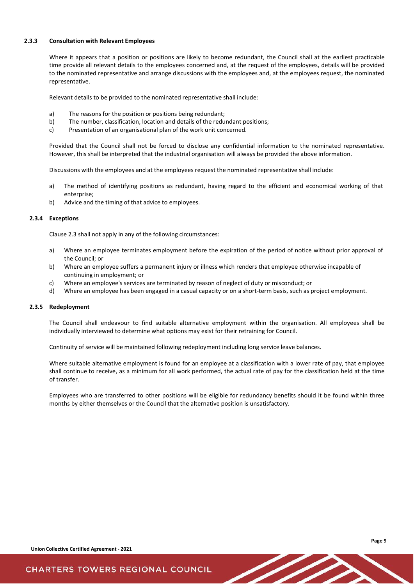#### **2.3.3 Consultation with Relevant Employees**

Where it appears that a position or positions are likely to become redundant, the Council shall at the earliest practicable time provide all relevant details to the employees concerned and, at the request of the employees, details will be provided to the nominated representative and arrange discussions with the employees and, at the employees request, the nominated representative.

Relevant details to be provided to the nominated representative shall include:

- a) The reasons for the position or positions being redundant;
- b) The number, classification, location and details of the redundant positions;
- c) Presentation of an organisational plan of the work unit concerned.

Provided that the Council shall not be forced to disclose any confidential information to the nominated representative. However, this shall be interpreted that the industrial organisation will always be provided the above information.

Discussions with the employees and at the employees request the nominated representative shall include:

- a) The method of identifying positions as redundant, having regard to the efficient and economical working of that enterprise;
- b) Advice and the timing of that advice to employees.

#### **2.3.4 Exceptions**

Clause 2.3 shall not apply in any of the following circumstances:

- a) Where an employee terminates employment before the expiration of the period of notice without prior approval of the Council; or
- b) Where an employee suffers a permanent injury or illness which renders that employee otherwise incapable of continuing in employment; or
- c) Where an employee's services are terminated by reason of neglect of duty or misconduct; or
- d) Where an employee has been engaged in a casual capacity or on a short-term basis, such as project employment.

#### **2.3.5 Redeployment**

The Council shall endeavour to find suitable alternative employment within the organisation. All employees shall be individually interviewed to determine what options may exist for their retraining for Council.

Continuity of service will be maintained following redeployment including long service leave balances.

Where suitable alternative employment is found for an employee at a classification with a lower rate of pay, that employee shall continue to receive, as a minimum for all work performed, the actual rate of pay for the classification held at the time of transfer.

Employees who are transferred to other positions will be eligible for redundancy benefits should it be found within three months by either themselves or the Council that the alternative position is unsatisfactory.

**Union Collective Certified Agreement - 2021**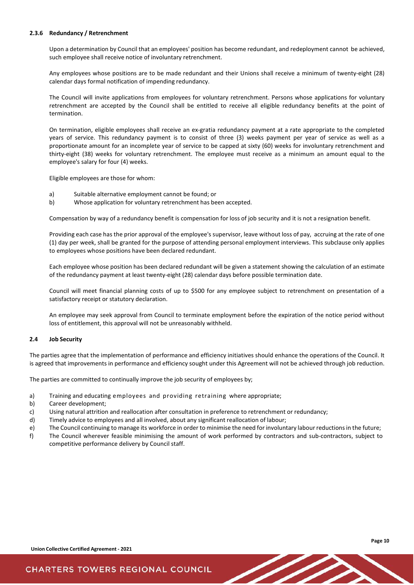#### **2.3.6 Redundancy / Retrenchment**

Upon a determination by Council that an employees' position has become redundant, and redeployment cannot be achieved, such employee shall receive notice of involuntary retrenchment.

Any employees whose positions are to be made redundant and their Unions shall receive a minimum of twenty-eight (28) calendar days formal notification of impending redundancy.

The Council will invite applications from employees for voluntary retrenchment. Persons whose applications for voluntary retrenchment are accepted by the Council shall be entitled to receive all eligible redundancy benefits at the point of termination.

On termination, eligible employees shall receive an ex-gratia redundancy payment at a rate appropriate to the completed years of service. This redundancy payment is to consist of three (3) weeks payment per year of service as well as a proportionate amount for an incomplete year of service to be capped at sixty (60) weeks for involuntary retrenchment and thirty-eight (38) weeks for voluntary retrenchment. The employee must receive as a minimum an amount equal to the employee's salary for four (4) weeks.

Eligible employees are those for whom:

- a) Suitable alternative employment cannot be found; or
- b) Whose application for voluntary retrenchment has been accepted.

Compensation by way of a redundancy benefit is compensation for loss of job security and it is not a resignation benefit.

Providing each case has the prior approval of the employee's supervisor, leave without loss of pay, accruing at the rate of one (1) day per week, shall be granted for the purpose of attending personal employment interviews. This subclause only applies to employees whose positions have been declared redundant.

Each employee whose position has been declared redundant will be given a statement showing the calculation of an estimate of the redundancy payment at least twenty-eight (28) calendar days before possible termination date.

Council will meet financial planning costs of up to \$500 for any employee subject to retrenchment on presentation of a satisfactory receipt or statutory declaration.

An employee may seek approval from Council to terminate employment before the expiration of the notice period without loss of entitlement, this approval will not be unreasonably withheld.

#### <span id="page-11-0"></span>**2.4 Job Security**

The parties agree that the implementation of performance and efficiency initiatives should enhance the operations of the Council. It is agreed that improvements in performance and efficiency sought under this Agreement will not be achieved through job reduction.

The parties are committed to continually improve the job security of employees by;

- a) Training and educating employees and providing retraining where appropriate;
- b) Career development;
- c) Using natural attrition and reallocation after consultation in preference to retrenchment or redundancy;
- d) Timely advice to employees and all involved, about any significant reallocation of labour;
- e) The Council continuing to manage its workforce in order to minimise the need for involuntary labourreductionsin the future;
- f) The Council wherever feasible minimising the amount of work performed by contractors and sub-contractors, subject to competitive performance delivery by Council staff.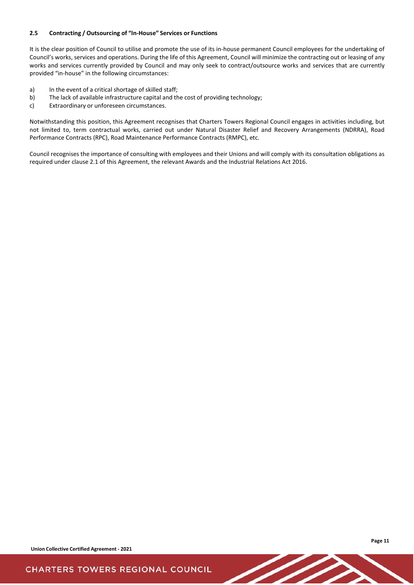### <span id="page-12-0"></span>**2.5 Contracting / Outsourcing of "In-House" Services or Functions**

It is the clear position of Council to utilise and promote the use of its in-house permanent Council employees for the undertaking of Council's works, services and operations. During the life of this Agreement, Council will minimize the contracting out or leasing of any works and services currently provided by Council and may only seek to contract/outsource works and services that are currently provided "in-house" in the following circumstances:

- a) In the event of a critical shortage of skilled staff;
- b) The lack of available infrastructure capital and the cost of providing technology;
- c) Extraordinary or unforeseen circumstances.

Notwithstanding this position, this Agreement recognises that Charters Towers Regional Council engages in activities including, but not limited to, term contractual works, carried out under Natural Disaster Relief and Recovery Arrangements (NDRRA), Road Performance Contracts (RPC), Road Maintenance Performance Contracts (RMPC), etc.

Council recognises the importance of consulting with employees and their Unions and will comply with its consultation obligations as required under clause 2.1 of this Agreement, the relevant Awards and the Industrial Relations Act 2016.

**Union Collective Certified Agreement - 2021**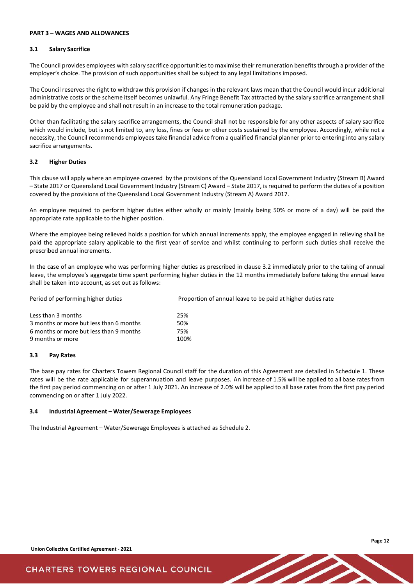#### <span id="page-13-0"></span>**PART 3 – WAGES AND ALLOWANCES**

#### <span id="page-13-1"></span>**3.1 Salary Sacrifice**

The Council provides employees with salary sacrifice opportunities to maximise their remuneration benefits through a provider of the employer's choice. The provision of such opportunities shall be subject to any legal limitations imposed.

The Council reserves the right to withdraw this provision if changes in the relevant laws mean that the Council would incur additional administrative costs or the scheme itself becomes unlawful. Any Fringe Benefit Tax attracted by the salary sacrifice arrangement shall be paid by the employee and shall not result in an increase to the total remuneration package.

Other than facilitating the salary sacrifice arrangements, the Council shall not be responsible for any other aspects of salary sacrifice which would include, but is not limited to, any loss, fines or fees or other costs sustained by the employee. Accordingly, while not a necessity, the Council recommends employees take financial advice from a qualified financial planner prior to entering into any salary sacrifice arrangements.

#### <span id="page-13-2"></span>**3.2 Higher Duties**

This clause will apply where an employee covered by the provisions of the Queensland Local Government Industry (Stream B) Award – State 2017 or Queensland Local Government Industry (Stream C) Award – State 2017, is required to perform the duties of a position covered by the provisions of the Queensland Local Government Industry (Stream A) Award 2017.

An employee required to perform higher duties either wholly or mainly (mainly being 50% or more of a day) will be paid the appropriate rate applicable to the higher position.

Where the employee being relieved holds a position for which annual increments apply, the employee engaged in relieving shall be paid the appropriate salary applicable to the first year of service and whilst continuing to perform such duties shall receive the prescribed annual increments.

In the case of an employee who was performing higher duties as prescribed in clause 3.2 immediately prior to the taking of annual leave, the employee's aggregate time spent performing higher duties in the 12 months immediately before taking the annual leave shall be taken into account, as set out as follows:

| Period of performing higher duties      | Proportion of annual leave to be paid at higher duties rate |  |  |
|-----------------------------------------|-------------------------------------------------------------|--|--|
| Less than 3 months                      | 25%                                                         |  |  |
| 3 months or more but less than 6 months | 50%                                                         |  |  |
| 6 months or more but less than 9 months | 75%                                                         |  |  |
| 9 months or more                        | 100%                                                        |  |  |

#### <span id="page-13-3"></span>**3.3 Pay Rates**

The base pay rates for Charters Towers Regional Council staff for the duration of this Agreement are detailed in Schedule 1. These rates will be the rate applicable for superannuation and leave purposes. An increase of 1.5% will be applied to all base rates from the first pay period commencing on or after 1 July 2021. An increase of 2.0% will be applied to all base rates from the first pay period commencing on or after 1 July 2022.

#### <span id="page-13-4"></span>**3.4 Industrial Agreement – Water/Sewerage Employees**

The Industrial Agreement – Water/Sewerage Employees is attached as Schedule 2.

**Union Collective Certified Agreement - 2021**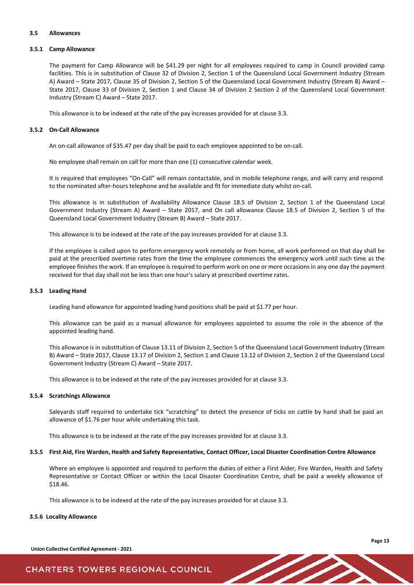#### <span id="page-14-0"></span>**3.5 Allowances**

#### **3.5.1 Camp Allowance**

The payment for Camp Allowance will be \$41.29 per night for all employees required to camp in Council provided camp facilities. This is in substitution of Clause 32 of Division 2, Section 1 of the Queensland Local Government Industry (Stream A) Award – State 2017, Clause 35 of Division 2, Section 5 of the Queensland Local Government Industry (Stream B) Award – State 2017, Clause 33 of Division 2, Section 1 and Clause 34 of Division 2 Section 2 of the Queensland Local Government Industry (Stream C) Award – State 2017.

This allowance is to be indexed at the rate of the pay increases provided for at clause 3.3.

#### **3.5.2 On-Call Allowance**

An on-call allowance of \$35.47 per day shall be paid to each employee appointed to be on-call.

No employee shall remain on call for more than one (1) consecutive calendar week.

It is required that employees "On-Call" will remain contactable, and in mobile telephone range, and will carry and respond to the nominated after-hours telephone and be available and fit for immediate duty whilst on-call.

This allowance is in substitution of Availability Allowance Clause 18.5 of Division 2, Section 1 of the Queensland Local Government Industry (Stream A) Award – State 2017, and On call allowance Clause 18.5 of Division 2, Section 5 of the Queensland Local Government Industry (Stream B) Award – State 2017.

This allowance is to be indexed at the rate of the pay increases provided for at clause 3.3.

If the employee is called upon to perform emergency work remotely or from home, all work performed on that day shall be paid at the prescribed overtime rates from the time the employee commences the emergency work until such time as the employee finishes the work. If an employee is required to perform work on one or more occasions in any one day the payment received for that day shall not be less than one hour's salary at prescribed overtime rates.

#### **3.5.3 Leading Hand**

Leading hand allowance for appointed leading hand positions shall be paid at \$1.77 per hour.

This allowance can be paid as a manual allowance for employees appointed to assume the role in the absence of the appointed leading hand.

This allowance is in substitution of Clause 13.11 of Division 2, Section 5 of the Queensland Local Government Industry (Stream B) Award – State 2017, Clause 13.17 of Division 2, Section 1 and Clause 13.12 of Division 2, Section 2 of the Queensland Local Government Industry (Stream C) Award – State 2017.

This allowance is to be indexed at the rate of the pay increases provided for at clause 3.3.

#### **3.5.4 Scratchings Allowance**

Saleyards staff required to undertake tick "scratching" to detect the presence of ticks on cattle by hand shall be paid an allowance of \$1.76 per hour while undertaking this task.

This allowance is to be indexed at the rate of the pay increases provided for at clause 3.3.

#### 3.5.5 First Aid, Fire Warden, Health and Safety Representative, Contact Officer, Local Disaster Coordination Centre Allowance

Where an employee is appointed and required to perform the duties of either a First Aider, Fire Warden, Health and Safety Representative or Contact Officer or within the Local Disaster Coordination Centre, shall be paid a weekly allowance of \$18.46.

This allowance is to be indexed at the rate of the pay increases provided for at clause 3.3.

#### **3.5.6 Locality Allowance**

**Union Collective Certified Agreement - 2021**

**Page 13**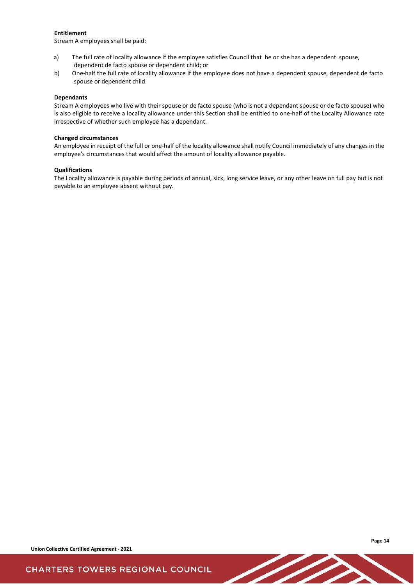#### **Entitlement**

Stream A employees shall be paid:

- a) The full rate of locality allowance if the employee satisfies Council that he or she has a dependent spouse, dependent de facto spouse or dependent child; or
- b) One-half the full rate of locality allowance if the employee does not have a dependent spouse, dependent de facto spouse or dependent child.

#### **Dependants**

Stream A employees who live with their spouse or de facto spouse (who is not a dependant spouse or de facto spouse) who is also eligible to receive a locality allowance under this Section shall be entitled to one-half of the Locality Allowance rate irrespective of whether such employee has a dependant.

#### **Changed circumstances**

An employee in receipt of the full or one-half of the locality allowance shall notify Council immediately of any changes in the employee's circumstances that would affect the amount of locality allowance payable.

#### **Qualifications**

The Locality allowance is payable during periods of annual, sick, long service leave, or any other leave on full pay but is not payable to an employee absent without pay.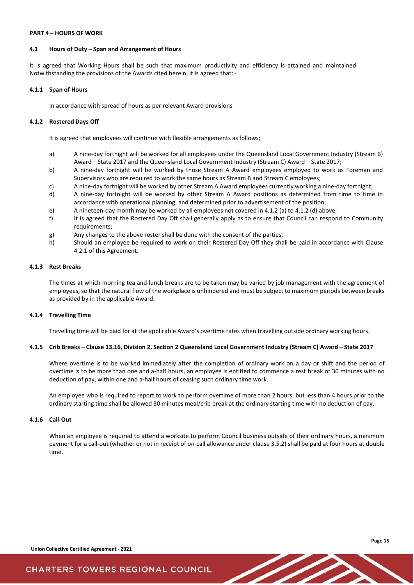#### <span id="page-16-0"></span>**PART 4 – HOURS OF WORK**

#### <span id="page-16-1"></span>**4.1 Hours of Duty – Span and Arrangement of Hours**

It is agreed that Working Hours shall be such that maximum productivity and efficiency is attained and maintained. Notwithstanding the provisions of the Awards cited herein, it is agreed that: -

#### **4.1.1 Span of Hours**

In accordance with spread of hours as per relevant Award provisions

#### **4.1.2 Rostered Days Off**

It is agreed that employees will continue with flexible arrangements as follows;

- a) A nine-day fortnight will be worked for all employees under the Queensland Local Government Industry (Stream B) Award – State 2017 and the Queensland Local Government Industry (Stream C) Award – State 2017;
- b) A nine-day fortnight will be worked by those Stream A Award employees employed to work as Foreman and Supervisors who are required to work the same hours as Stream B and Stream C employees;
- c) A nine-day fortnight will be worked by other Stream A Award employees currently working a nine-day fortnight;
- d) A nine-day fortnight will be worked by other Stream A Award positions as determined from time to time in accordance with operational planning, and determined prior to advertisement of the position;
- e) A nineteen-day month may be worked by all employees not covered in 4.1.2 (a) to 4.1.2 (d) above;
- f) It is agreed that the Rostered Day Off shall generally apply as to ensure that Council can respond to Community requirements;
- g) Any changes to the above roster shall be done with the consent of the parties;
- h) Should an employee be required to work on their Rostered Day Off they shall be paid in accordance with Clause 4.2.1 of this Agreement.

#### **4.1.3 Rest Breaks**

The times at which morning tea and lunch breaks are to be taken may be varied by job management with the agreement of employees, so that the natural flow of the workplace is unhindered and must be subject to maximum periods between breaks as provided by in the applicable Award.

#### **4.1.4 Travelling Time**

Travelling time will be paid for at the applicable Award's overtime rates when travelling outside ordinary working hours.

#### 4.1.5 Crib Breaks - Clause 13.16, Division 2, Section 2 Queensland Local Government Industry (Stream C) Award - State 2017

Where overtime is to be worked immediately after the completion of ordinary work on a day or shift and the period of overtime is to be more than one and a-half hours, an employee is entitled to commence a rest break of 30 minutes with no deduction of pay, within one and a-half hours of ceasing such ordinary time work.

An employee who is required to report to work to perform overtime of more than 2 hours, but less than 4 hours prior to the ordinary starting time shall be allowed 30 minutes meal/crib break at the ordinary starting time with no deduction of pay.

#### **4.1.6 Call-Out**

When an employee is required to attend a worksite to perform Council business outside of their ordinary hours, a minimum payment for a call-out (whether or not in receipt of on-call allowance under clause 3.5.2) shall be paid at four hours at double time.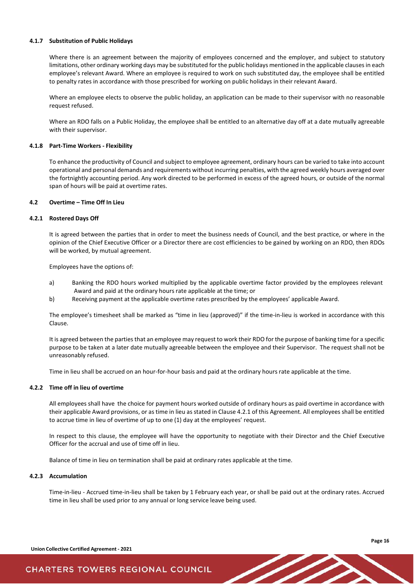#### **4.1.7 Substitution of Public Holidays**

Where there is an agreement between the majority of employees concerned and the employer, and subject to statutory limitations, other ordinary working days may be substituted for the public holidays mentioned in the applicable clauses in each employee's relevant Award. Where an employee is required to work on such substituted day, the employee shall be entitled to penalty rates in accordance with those prescribed for working on public holidays in their relevant Award.

Where an employee elects to observe the public holiday, an application can be made to their supervisor with no reasonable request refused.

Where an RDO falls on a Public Holiday, the employee shall be entitled to an alternative day off at a date mutually agreeable with their supervisor.

#### **4.1.8 Part-Time Workers - Flexibility**

To enhance the productivity of Council and subject to employee agreement, ordinary hours can be varied to take into account operational and personal demands and requirements without incurring penalties, with the agreed weekly hours averaged over the fortnightly accounting period. Any work directed to be performed in excess of the agreed hours, or outside of the normal span of hours will be paid at overtime rates.

#### <span id="page-17-0"></span>**4.2 Overtime – Time Off In Lieu**

#### **4.2.1 Rostered Days Off**

It is agreed between the parties that in order to meet the business needs of Council, and the best practice, or where in the opinion of the Chief Executive Officer or a Director there are cost efficiencies to be gained by working on an RDO, then RDOs will be worked, by mutual agreement.

Employees have the options of:

- a) Banking the RDO hours worked multiplied by the applicable overtime factor provided by the employees relevant Award and paid at the ordinary hours rate applicable at the time; or
- b) Receiving payment at the applicable overtime rates prescribed by the employees' applicable Award.

The employee's timesheet shall be marked as "time in lieu (approved)" if the time-in-lieu is worked in accordance with this Clause.

It is agreed between the parties that an employee may request to work their RDO for the purpose of banking time for a specific purpose to be taken at a later date mutually agreeable between the employee and their Supervisor. The request shall not be unreasonably refused.

Time in lieu shall be accrued on an hour-for-hour basis and paid at the ordinary hours rate applicable at the time.

#### **4.2.2 Time off in lieu of overtime**

All employees shall have the choice for payment hours worked outside of ordinary hours as paid overtime in accordance with their applicable Award provisions, or as time in lieu as stated in Clause 4.2.1 of this Agreement. All employees shall be entitled to accrue time in lieu of overtime of up to one (1) day at the employees' request.

In respect to this clause, the employee will have the opportunity to negotiate with their Director and the Chief Executive Officer for the accrual and use of time off in lieu.

Balance of time in lieu on termination shall be paid at ordinary rates applicable at the time.

#### **4.2.3 Accumulation**

Time-in-lieu - Accrued time-in-lieu shall be taken by 1 February each year, or shall be paid out at the ordinary rates. Accrued time in lieu shall be used prior to any annual or long service leave being used.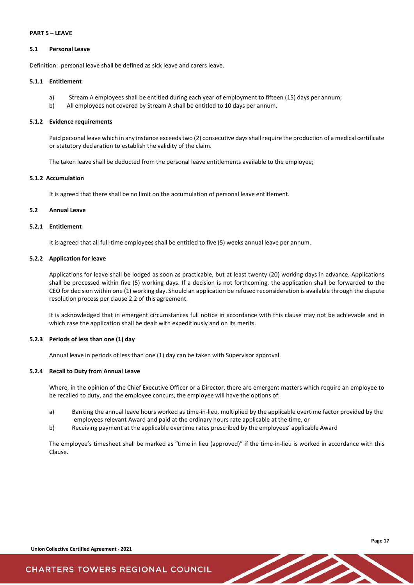#### <span id="page-18-0"></span>**PART 5 – LEAVE**

#### <span id="page-18-1"></span>**5.1 Personal Leave**

Definition: personal leave shall be defined as sick leave and carers leave.

#### **5.1.1 Entitlement**

- a) Stream A employees shall be entitled during each year of employment to fifteen (15) days per annum;
- b) All employees not covered by Stream A shall be entitled to 10 days per annum.

#### **5.1.2 Evidence requirements**

Paid personal leave which in any instance exceeds two (2) consecutive days shall require the production of a medical certificate or statutory declaration to establish the validity of the claim.

The taken leave shall be deducted from the personal leave entitlements available to the employee;

### **5.1.2 Accumulation**

It is agreed that there shall be no limit on the accumulation of personal leave entitlement.

#### <span id="page-18-2"></span>**5.2 Annual Leave**

#### **5.2.1 Entitlement**

It is agreed that all full-time employees shall be entitled to five (5) weeks annual leave per annum.

#### **5.2.2 Application for leave**

Applications for leave shall be lodged as soon as practicable, but at least twenty (20) working days in advance. Applications shall be processed within five (5) working days. If a decision is not forthcoming, the application shall be forwarded to the CEO for decision within one (1) working day. Should an application be refused reconsideration is available through the dispute resolution process per clause 2.2 of this agreement.

It is acknowledged that in emergent circumstances full notice in accordance with this clause may not be achievable and in which case the application shall be dealt with expeditiously and on its merits.

#### **5.2.3 Periods of less than one (1) day**

Annual leave in periods of less than one (1) day can be taken with Supervisor approval.

#### **5.2.4 Recall to Duty from Annual Leave**

Where, in the opinion of the Chief Executive Officer or a Director, there are emergent matters which require an employee to be recalled to duty, and the employee concurs, the employee will have the options of:

- a) Banking the annual leave hours worked as time-in-lieu, multiplied by the applicable overtime factor provided by the employees relevant Award and paid at the ordinary hours rate applicable at the time, or
- b) Receiving payment at the applicable overtime rates prescribed by the employees' applicable Award

The employee's timesheet shall be marked as "time in lieu (approved)" if the time-in-lieu is worked in accordance with this Clause.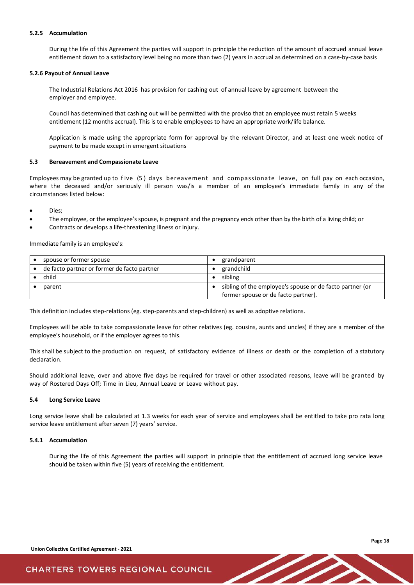#### **5.2.5 Accumulation**

During the life of this Agreement the parties will support in principle the reduction of the amount of accrued annual leave entitlement down to a satisfactory level being no more than two (2) years in accrual as determined on a case-by-case basis

#### **5.2.6 Payout of Annual Leave**

The Industrial Relations Act 2016 has provision for cashing out of annual leave by agreement between the employer and employee.

Council has determined that cashing out will be permitted with the proviso that an employee must retain 5 weeks entitlement (12 months accrual). This is to enable employees to have an appropriate work/life balance.

Application is made using the appropriate form for approval by the relevant Director, and at least one week notice of payment to be made except in emergent situations

#### <span id="page-19-0"></span>**5.3 Bereavement and Compassionate Leave**

Employees may be granted up to f ive (5 ) days bereavement and compassionate leave, on full pay on each occasion, where the deceased and/or seriously ill person was/is a member of an employee's immediate family in any of the circumstances listed below:

- Dies:
- The employee, or the employee's spouse, is pregnant and the pregnancy ends other than by the birth of a living child; or
- Contracts or develops a life-threatening illness or injury.

Immediate family is an employee's:

| spouse or former spouse                     | grandparent                                              |
|---------------------------------------------|----------------------------------------------------------|
| de facto partner or former de facto partner | grandchild                                               |
| child                                       | sibling                                                  |
| parent                                      | sibling of the employee's spouse or de facto partner (or |
|                                             | former spouse or de facto partner).                      |

This definition includes step-relations (eg. step-parents and step-children) as well as adoptive relations.

Employees will be able to take compassionate leave for other relatives (eg. cousins, aunts and uncles) if they are a member of the employee's household, or if the employer agrees to this.

This shall be subject to the production on request, of satisfactory evidence of illness or death or the completion of a statutory declaration.

Should additional leave, over and above five days be required for travel or other associated reasons, leave will be granted by way of Rostered Days Off; Time in Lieu, Annual Leave or Leave without pay.

#### <span id="page-19-1"></span>**5.4 Long Service Leave**

Long service leave shall be calculated at 1.3 weeks for each year of service and employees shall be entitled to take pro rata long service leave entitlement after seven (7) years' service.

#### **5.4.1 Accumulation**

During the life of this Agreement the parties will support in principle that the entitlement of accrued long service leave should be taken within five (5) years of receiving the entitlement.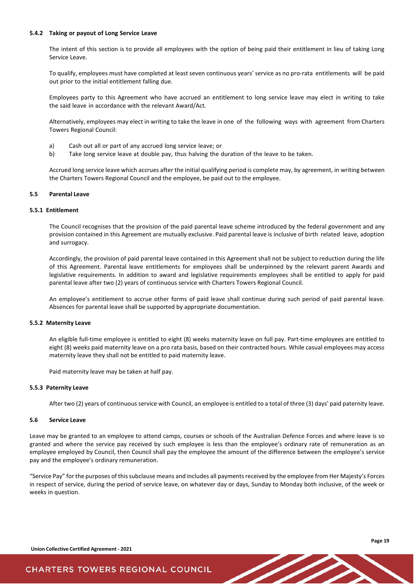#### **5.4.2 Taking or payout of Long Service Leave**

The intent of this section is to provide all employees with the option of being paid their entitlement in lieu of taking Long Service Leave.

To qualify, employees must have completed at least seven continuous years' service as no pro-rata entitlements will be paid out prior to the initial entitlement falling due.

Employees party to this Agreement who have accrued an entitlement to long service leave may elect in writing to take the said leave in accordance with the relevant Award/Act.

Alternatively, employees may elect in writing to take the leave in one of the following ways with agreement from Charters Towers Regional Council:

- a) Cash out all or part of any accrued long service leave; or
- b) Take long service leave at double pay, thus halving the duration of the leave to be taken.

Accrued long service leave which accrues after the initial qualifying period is complete may, by agreement, in writing between the Charters Towers Regional Council and the employee, be paid out to the employee.

#### <span id="page-20-0"></span>**5.5 Parental Leave**

#### **5.5.1 Entitlement**

The Council recognises that the provision of the paid parental leave scheme introduced by the federal government and any provision contained in this Agreement are mutually exclusive. Paid parental leave is inclusive of birth related leave, adoption and surrogacy.

Accordingly, the provision of paid parental leave contained in this Agreement shall not be subject to reduction during the life of this Agreement. Parental leave entitlements for employees shall be underpinned by the relevant parent Awards and legislative requirements. In addition to award and legislative requirements employees shall be entitled to apply for paid parental leave after two (2) years of continuous service with Charters Towers Regional Council.

An employee's entitlement to accrue other forms of paid leave shall continue during such period of paid parental leave. Absences for parental leave shall be supported by appropriate documentation.

#### **5.5.2 Maternity Leave**

An eligible full-time employee is entitled to eight (8) weeks maternity leave on full pay. Part-time employees are entitled to eight (8) weeks paid maternity leave on a pro rata basis, based on their contracted hours. While casual employees may access maternity leave they shall not be entitled to paid maternity leave.

Paid maternity leave may be taken at half pay.

#### **5.5.3 Paternity Leave**

After two (2) years of continuous service with Council, an employee is entitled to a total of three (3) days' paid paternity leave.

#### <span id="page-20-1"></span>**5.6 Service Leave**

Leave may be granted to an employee to attend camps, courses or schools of the Australian Defence Forces and where leave is so granted and where the service pay received by such employee is less than the employee's ordinary rate of remuneration as an employee employed by Council, then Council shall pay the employee the amount of the difference between the employee's service pay and the employee's ordinary remuneration.

"Service Pay" for the purposes of this subclause means and includes all payments received by the employee from Her Majesty's Forces in respect of service, during the period of service leave, on whatever day or days, Sunday to Monday both inclusive, of the week or weeks in question.

**Page 19**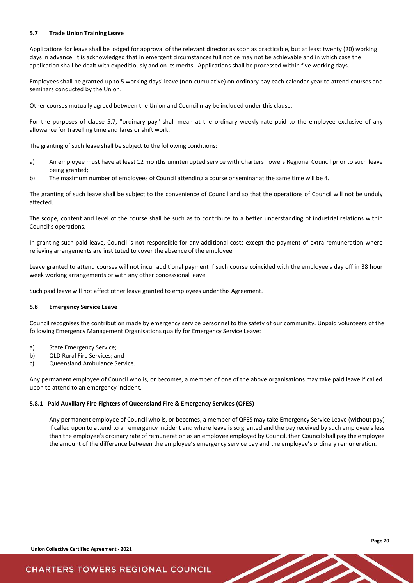#### <span id="page-21-0"></span>**5.7 Trade Union Training Leave**

Applications for leave shall be lodged for approval of the relevant director as soon as practicable, but at least twenty (20) working days in advance. It is acknowledged that in emergent circumstances full notice may not be achievable and in which case the application shall be dealt with expeditiously and on its merits. Applications shall be processed within five working days.

Employees shall be granted up to 5 working days' leave (non-cumulative) on ordinary pay each calendar year to attend courses and seminars conducted by the Union.

Other courses mutually agreed between the Union and Council may be included under this clause.

For the purposes of clause 5.7, "ordinary pay" shall mean at the ordinary weekly rate paid to the employee exclusive of any allowance for travelling time and fares or shift work.

The granting of such leave shall be subject to the following conditions:

- a) An employee must have at least 12 months uninterrupted service with Charters Towers Regional Council prior to such leave being granted;
- b) The maximum number of employees of Council attending a course or seminar at the same time will be 4.

The granting of such leave shall be subject to the convenience of Council and so that the operations of Council will not be unduly affected.

The scope, content and level of the course shall be such as to contribute to a better understanding of industrial relations within Council's operations.

In granting such paid leave, Council is not responsible for any additional costs except the payment of extra remuneration where relieving arrangements are instituted to cover the absence of the employee.

Leave granted to attend courses will not incur additional payment if such course coincided with the employee's day off in 38 hour week working arrangements or with any other concessional leave.

Such paid leave will not affect other leave granted to employees under this Agreement.

#### <span id="page-21-1"></span>**5.8 Emergency Service Leave**

Council recognises the contribution made by emergency service personnel to the safety of our community. Unpaid volunteers of the following Emergency Management Organisations qualify for Emergency Service Leave:

- a) State Emergency Service;
- b) QLD Rural Fire Services; and
- c) Queensland Ambulance Service.

Any permanent employee of Council who is, or becomes, a member of one of the above organisations may take paid leave if called upon to attend to an emergency incident.

#### **5.8.1 Paid Auxiliary Fire Fighters of Queensland Fire & Emergency Services (QFES)**

Any permanent employee of Council who is, or becomes, a member of QFES may take Emergency Service Leave (without pay) if called upon to attend to an emergency incident and where leave is so granted and the pay received by such employeeis less than the employee's ordinary rate of remuneration as an employee employed by Council, then Council shall pay the employee the amount of the difference between the employee's emergency service pay and the employee's ordinary remuneration.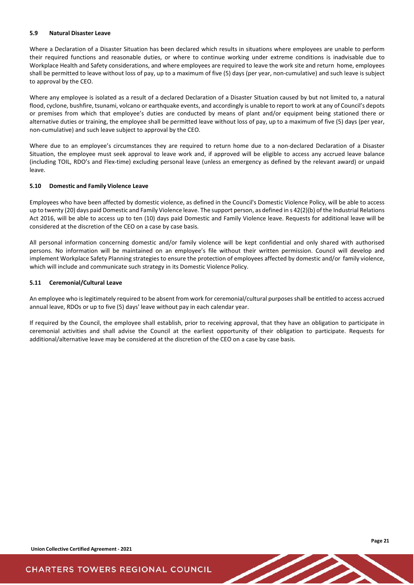#### <span id="page-22-0"></span>**5.9 Natural Disaster Leave**

Where a Declaration of a Disaster Situation has been declared which results in situations where employees are unable to perform their required functions and reasonable duties, or where to continue working under extreme conditions is inadvisable due to Workplace Health and Safety considerations, and where employees are required to leave the work site and return home, employees shall be permitted to leave without loss of pay, up to a maximum of five (5) days (per year, non-cumulative) and such leave is subject to approval by the CEO.

Where any employee is isolated as a result of a declared Declaration of a Disaster Situation caused by but not limited to, a natural flood, cyclone, bushfire, tsunami, volcano or earthquake events, and accordingly is unable to report to work at any of Council's depots or premises from which that employee's duties are conducted by means of plant and/or equipment being stationed there or alternative duties or training, the employee shall be permitted leave without loss of pay, up to a maximum of five (5) days (per year, non-cumulative) and such leave subject to approval by the CEO.

Where due to an employee's circumstances they are required to return home due to a non-declared Declaration of a Disaster Situation, the employee must seek approval to leave work and, if approved will be eligible to access any accrued leave balance (including TOIL, RDO's and Flex-time) excluding personal leave (unless an emergency as defined by the relevant award) or unpaid leave.

#### <span id="page-22-1"></span>**5.10 Domestic and Family Violence Leave**

Employees who have been affected by domestic violence, as defined in the Council's Domestic Violence Policy, will be able to access up to twenty (20) days paid Domestic and Family Violence leave. The support person, as defined in s 42(2)(b) of the Industrial Relations Act 2016, will be able to access up to ten (10) days paid Domestic and Family Violence leave. Requests for additional leave will be considered at the discretion of the CEO on a case by case basis.

All personal information concerning domestic and/or family violence will be kept confidential and only shared with authorised persons. No information will be maintained on an employee's file without their written permission. Council will develop and implement Workplace Safety Planning strategies to ensure the protection of employees affected by domestic and/or family violence, which will include and communicate such strategy in its Domestic Violence Policy.

#### <span id="page-22-2"></span>**5.11 Ceremonial/Cultural Leave**

An employee who is legitimately required to be absent from work for ceremonial/cultural purposes shall be entitled to access accrued annual leave, RDOs or up to five (5) days' leave without pay in each calendar year.

If required by the Council, the employee shall establish, prior to receiving approval, that they have an obligation to participate in ceremonial activities and shall advise the Council at the earliest opportunity of their obligation to participate. Requests for additional/alternative leave may be considered at the discretion of the CEO on a case by case basis.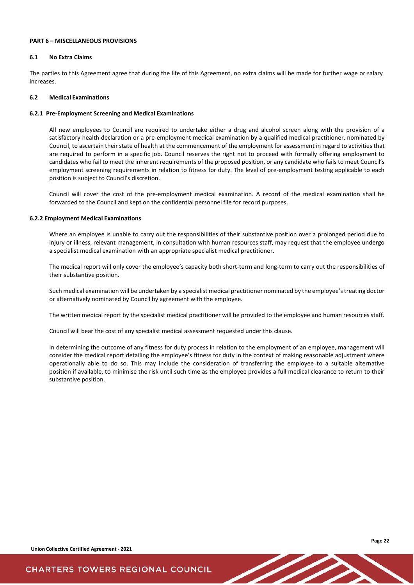### <span id="page-23-0"></span>**PART 6 – MISCELLANEOUS PROVISIONS**

#### <span id="page-23-1"></span>**6.1 No Extra Claims**

The parties to this Agreement agree that during the life of this Agreement, no extra claims will be made for further wage or salary increases.

#### <span id="page-23-2"></span>**6.2 Medical Examinations**

#### **6.2.1 Pre-Employment Screening and Medical Examinations**

All new employees to Council are required to undertake either a drug and alcohol screen along with the provision of a satisfactory health declaration or a pre-employment medical examination by a qualified medical practitioner, nominated by Council, to ascertain their state of health at the commencement of the employment for assessment in regard to activities that are required to perform in a specific job. Council reserves the right not to proceed with formally offering employment to candidates who fail to meet the inherent requirements of the proposed position, or any candidate who fails to meet Council's employment screening requirements in relation to fitness for duty. The level of pre-employment testing applicable to each position is subject to Council's discretion.

Council will cover the cost of the pre-employment medical examination. A record of the medical examination shall be forwarded to the Council and kept on the confidential personnel file for record purposes.

#### **6.2.2 Employment Medical Examinations**

Where an employee is unable to carry out the responsibilities of their substantive position over a prolonged period due to injury or illness, relevant management, in consultation with human resources staff, may request that the employee undergo a specialist medical examination with an appropriate specialist medical practitioner.

The medical report will only cover the employee's capacity both short-term and long-term to carry out the responsibilities of their substantive position.

Such medical examination will be undertaken by a specialist medical practitioner nominated by the employee's treating doctor or alternatively nominated by Council by agreement with the employee.

The written medical report by the specialist medical practitioner will be provided to the employee and human resources staff.

Council will bear the cost of any specialist medical assessment requested under this clause.

In determining the outcome of any fitness for duty process in relation to the employment of an employee, management will consider the medical report detailing the employee's fitness for duty in the context of making reasonable adjustment where operationally able to do so. This may include the consideration of transferring the employee to a suitable alternative position if available, to minimise the risk until such time as the employee provides a full medical clearance to return to their substantive position.

**Union Collective Certified Agreement - 2021**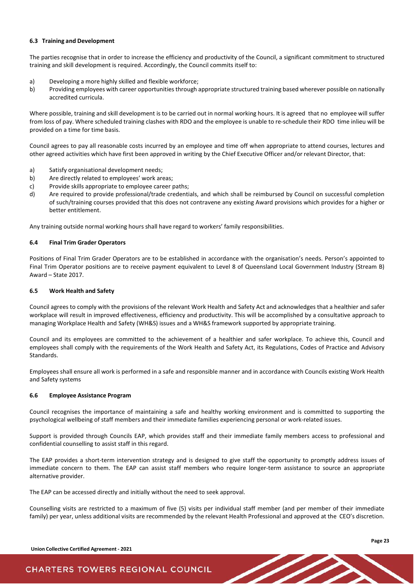#### <span id="page-24-0"></span>**6.3 Training and Development**

The parties recognise that in order to increase the efficiency and productivity of the Council, a significant commitment to structured training and skill development is required. Accordingly, the Council commits itself to:

- a) Developing a more highly skilled and flexible workforce;
- b) Providing employees with career opportunitiesthrough appropriate structured training based wherever possible on nationally accredited curricula.

Where possible, training and skill development is to be carried out in normal working hours. It is agreed that no employee will suffer from loss of pay. Where scheduled training clashes with RDO and the employee is unable to re-schedule their RDO time inlieu will be provided on a time for time basis.

Council agrees to pay all reasonable costs incurred by an employee and time off when appropriate to attend courses, lectures and other agreed activities which have first been approved in writing by the Chief Executive Officer and/or relevant Director, that:

- a) Satisfy organisational development needs;
- b) Are directly related to employees' work areas;
- c) Provide skills appropriate to employee career paths;
- d) Are required to provide professional/trade credentials, and which shall be reimbursed by Council on successful completion of such/training courses provided that this does not contravene any existing Award provisions which provides for a higher or better entitlement.

Any training outside normal working hours shall have regard to workers' family responsibilities.

#### <span id="page-24-1"></span>**6.4 Final Trim Grader Operators**

Positions of Final Trim Grader Operators are to be established in accordance with the organisation's needs. Person's appointed to Final Trim Operator positions are to receive payment equivalent to Level 8 of Queensland Local Government Industry (Stream B) Award – State 2017.

#### <span id="page-24-2"></span>**6.5 Work Health and Safety**

Council agrees to comply with the provisions of the relevant Work Health and Safety Act and acknowledges that a healthier and safer workplace will result in improved effectiveness, efficiency and productivity. This will be accomplished by a consultative approach to managing Workplace Health and Safety (WH&S) issues and a WH&S framework supported by appropriate training.

Council and its employees are committed to the achievement of a healthier and safer workplace. To achieve this, Council and employees shall comply with the requirements of the Work Health and Safety Act, its Regulations, Codes of Practice and Advisory Standards.

Employees shall ensure all work is performed in a safe and responsible manner and in accordance with Councils existing Work Health and Safety systems

#### <span id="page-24-3"></span>**6.6 Employee Assistance Program**

Council recognises the importance of maintaining a safe and healthy working environment and is committed to supporting the psychological wellbeing of staff members and their immediate families experiencing personal or work-related issues.

Support is provided through Councils EAP, which provides staff and their immediate family members access to professional and confidential counselling to assist staff in this regard.

The EAP provides a short-term intervention strategy and is designed to give staff the opportunity to promptly address issues of immediate concern to them. The EAP can assist staff members who require longer-term assistance to source an appropriate alternative provider.

The EAP can be accessed directly and initially without the need to seek approval.

Counselling visits are restricted to a maximum of five (5) visits per individual staff member (and per member of their immediate family) per year, unless additional visits are recommended by the relevant Health Professional and approved at the CEO's discretion.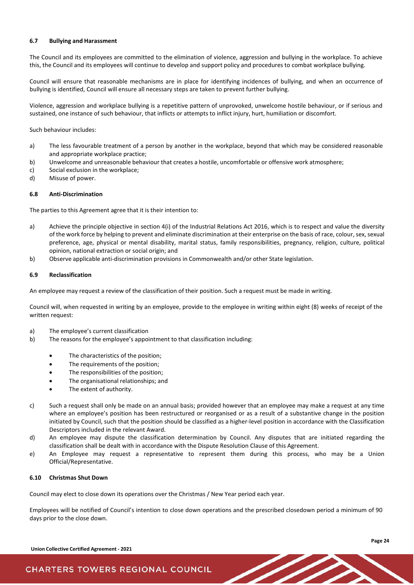#### <span id="page-25-0"></span>**6.7 Bullying and Harassment**

The Council and its employees are committed to the elimination of violence, aggression and bullying in the workplace. To achieve this, the Council and its employees will continue to develop and support policy and procedures to combat workplace bullying.

Council will ensure that reasonable mechanisms are in place for identifying incidences of bullying, and when an occurrence of bullying is identified, Council will ensure all necessary steps are taken to prevent further bullying.

Violence, aggression and workplace bullying is a repetitive pattern of unprovoked, unwelcome hostile behaviour, or if serious and sustained, one instance of such behaviour, that inflicts or attempts to inflict injury, hurt, humiliation or discomfort.

Such behaviour includes:

- a) The less favourable treatment of a person by another in the workplace, beyond that which may be considered reasonable and appropriate workplace practice;
- b) Unwelcome and unreasonable behaviour that creates a hostile, uncomfortable or offensive work atmosphere;<br>c) Social exclusion in the workplace;
- c) Social exclusion in the workplace;<br>d) Misuse of power.
- Misuse of power.

#### <span id="page-25-1"></span>**6.8 Anti-Discrimination**

The parties to this Agreement agree that it is their intention to:

- a) Achieve the principle objective in section 4(i) of the Industrial Relations Act 2016, which is to respect and value the diversity of the work force by helping to prevent and eliminate discrimination at their enterprise on the basis of race, colour, sex, sexual preference, age, physical or mental disability, marital status, family responsibilities, pregnancy, religion, culture, political opinion, national extraction or social origin; and
- b) Observe applicable anti-discrimination provisions in Commonwealth and/or other State legislation.

#### <span id="page-25-2"></span>**6.9 Reclassification**

An employee may request a review of the classification of their position. Such a request must be made in writing.

Council will, when requested in writing by an employee, provide to the employee in writing within eight (8) weeks of receipt of the written request:

- a) The employee's current classification
- b) The reasons for the employee's appointment to that classification including:
	- The characteristics of the position;
	- The requirements of the position;
	- The responsibilities of the position;
	- The organisational relationships; and
	- The extent of authority.
- c) Such a request shall only be made on an annual basis; provided however that an employee may make a request at any time where an employee's position has been restructured or reorganised or as a result of a substantive change in the position initiated by Council, such that the position should be classified as a higher-level position in accordance with the Classification Descriptors included in the relevant Award.
- d) An employee may dispute the classification determination by Council. Any disputes that are initiated regarding the classification shall be dealt with in accordance with the Dispute Resolution Clause of this Agreement.
- e) An Employee may request a representative to represent them during this process, who may be a Union Official/Representative.

#### <span id="page-25-3"></span>**6.10 Christmas Shut Down**

Council may elect to close down its operations over the Christmas / New Year period each year.

Employees will be notified of Council's intention to close down operations and the prescribed closedown period a minimum of 90 days prior to the close down.

**Union Collective Certified Agreement - 2021**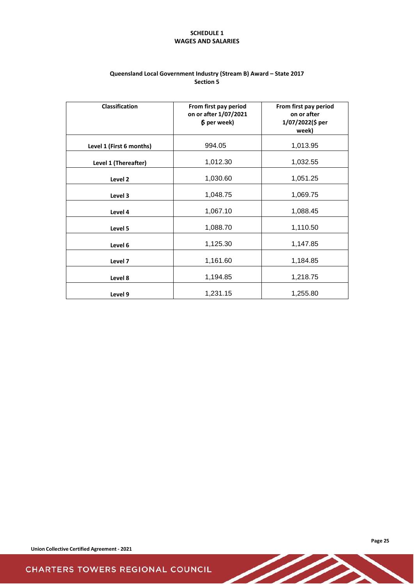# **SCHEDULE 1 WAGES AND SALARIES**

<span id="page-26-0"></span>

| <b>Classification</b>    | From first pay period<br>on or after 1/07/2021<br>$$$ per week) | From first pay period<br>on or after<br>1/07/2022(\$ per<br>week) |
|--------------------------|-----------------------------------------------------------------|-------------------------------------------------------------------|
| Level 1 (First 6 months) | 994.05                                                          | 1,013.95                                                          |
| Level 1 (Thereafter)     | 1,012.30                                                        | 1,032.55                                                          |
| Level 2                  | 1,030.60                                                        | 1,051.25                                                          |
| Level 3                  | 1,048.75                                                        | 1,069.75                                                          |
| Level 4                  | 1,067.10                                                        | 1,088.45                                                          |
| Level 5                  | 1,088.70                                                        | 1,110.50                                                          |
| Level 6                  | 1,125.30                                                        | 1,147.85                                                          |
| Level 7                  | 1,161.60                                                        | 1,184.85                                                          |
| Level 8                  | 1,194.85                                                        | 1,218.75                                                          |
| Level 9                  | 1,231.15                                                        | 1,255.80                                                          |

 $\overline{\mathscr{L}}$ 

# **Queensland Local Government Industry (Stream B) Award – State 2017 Section 5**

**Union Collective Certified Agreement - 2021**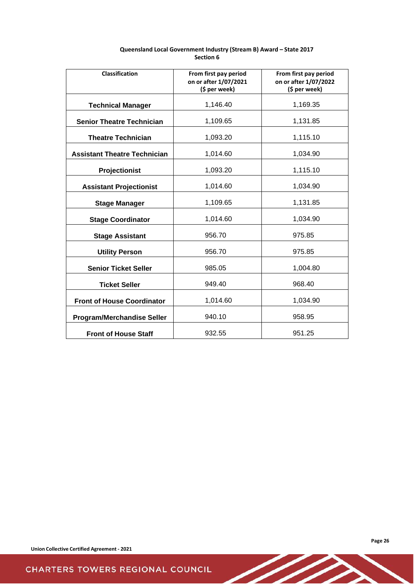| Classification                      | From first pay period<br>on or after 1/07/2021<br>(\$ per week) | From first pay period<br>on or after 1/07/2022<br>(\$ per week) |
|-------------------------------------|-----------------------------------------------------------------|-----------------------------------------------------------------|
| <b>Technical Manager</b>            | 1,146.40                                                        | 1,169.35                                                        |
| <b>Senior Theatre Technician</b>    | 1,109.65                                                        | 1,131.85                                                        |
| <b>Theatre Technician</b>           | 1,093.20                                                        | 1,115.10                                                        |
| <b>Assistant Theatre Technician</b> | 1,014.60                                                        | 1,034.90                                                        |
| Projectionist                       | 1,093.20                                                        | 1,115.10                                                        |
| <b>Assistant Projectionist</b>      | 1,014.60                                                        | 1,034.90                                                        |
| <b>Stage Manager</b>                | 1,109.65                                                        | 1,131.85                                                        |
| <b>Stage Coordinator</b>            | 1,014.60                                                        | 1,034.90                                                        |
| <b>Stage Assistant</b>              | 956.70                                                          | 975.85                                                          |
| <b>Utility Person</b>               | 956.70                                                          | 975.85                                                          |
| <b>Senior Ticket Seller</b>         | 985.05                                                          | 1,004.80                                                        |
| <b>Ticket Seller</b>                | 949.40                                                          | 968.40                                                          |
| <b>Front of House Coordinator</b>   | 1,014.60                                                        | 1,034.90                                                        |
| <b>Program/Merchandise Seller</b>   | 940.10                                                          | 958.95                                                          |
| <b>Front of House Staff</b>         | 932.55                                                          | 951.25                                                          |

D.

# **Queensland Local Government Industry (Stream B) Award – State 2017 Section 6**

 $\overline{\phantom{0}}$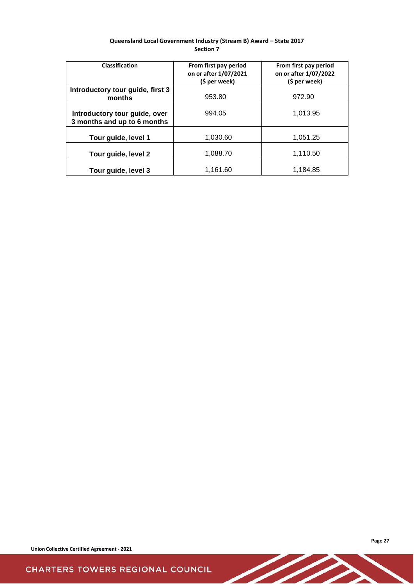| Queensland Local Government Industry (Stream B) Award - State 2017 |
|--------------------------------------------------------------------|
| <b>Section 7</b>                                                   |

| Classification                                               | From first pay period<br>on or after 1/07/2021<br>(\$ per week) | From first pay period<br>on or after 1/07/2022<br>(\$ per week) |
|--------------------------------------------------------------|-----------------------------------------------------------------|-----------------------------------------------------------------|
| Introductory tour guide, first 3<br>months                   | 953.80                                                          | 972.90                                                          |
| Introductory tour guide, over<br>3 months and up to 6 months | 994.05                                                          | 1,013.95                                                        |
| Tour guide, level 1                                          | 1,030.60                                                        | 1.051.25                                                        |
| Tour guide, level 2                                          | 1,088.70                                                        | 1,110.50                                                        |
| Tour guide, level 3                                          | 1,161.60                                                        | 1,184.85                                                        |

**Union Collective Certified Agreement - 2021**

 $\overline{\phantom{a}}$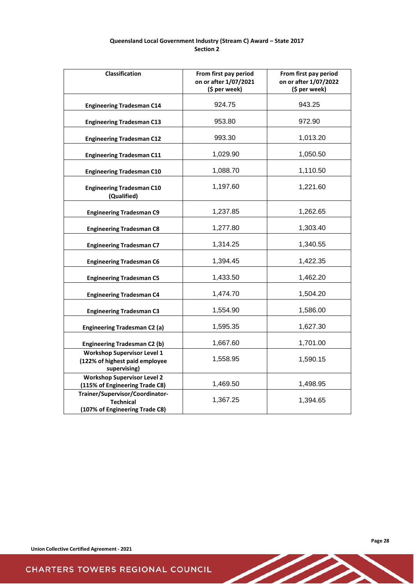# **Queensland Local Government Industry (Stream C) Award – State 2017 Section 2**

| Classification                                                                        | From first pay period<br>on or after 1/07/2021<br>(\$ per week) | From first pay period<br>on or after 1/07/2022<br>(\$ per week) |
|---------------------------------------------------------------------------------------|-----------------------------------------------------------------|-----------------------------------------------------------------|
| <b>Engineering Tradesman C14</b>                                                      | 924.75                                                          | 943.25                                                          |
| <b>Engineering Tradesman C13</b>                                                      | 953.80                                                          | 972.90                                                          |
| <b>Engineering Tradesman C12</b>                                                      | 993.30                                                          | 1,013.20                                                        |
| <b>Engineering Tradesman C11</b>                                                      | 1,029.90                                                        | 1,050.50                                                        |
| <b>Engineering Tradesman C10</b>                                                      | 1,088.70                                                        | 1,110.50                                                        |
| <b>Engineering Tradesman C10</b><br>(Qualified)                                       | 1,197.60                                                        | 1,221.60                                                        |
| <b>Engineering Tradesman C9</b>                                                       | 1,237.85                                                        | 1,262.65                                                        |
| <b>Engineering Tradesman C8</b>                                                       | 1,277.80                                                        | 1,303.40                                                        |
| <b>Engineering Tradesman C7</b>                                                       | 1,314.25                                                        | 1,340.55                                                        |
| <b>Engineering Tradesman C6</b>                                                       | 1,394.45                                                        | 1,422.35                                                        |
| <b>Engineering Tradesman C5</b>                                                       | 1,433.50                                                        | 1,462.20                                                        |
| <b>Engineering Tradesman C4</b>                                                       | 1,474.70                                                        | 1,504.20                                                        |
| <b>Engineering Tradesman C3</b>                                                       | 1,554.90                                                        | 1,586.00                                                        |
| <b>Engineering Tradesman C2 (a)</b>                                                   | 1,595.35                                                        | 1,627.30                                                        |
| <b>Engineering Tradesman C2 (b)</b>                                                   | 1,667.60                                                        | 1,701.00                                                        |
| <b>Workshop Supervisor Level 1</b><br>(122% of highest paid employee<br>supervising)  | 1,558.95                                                        | 1,590.15                                                        |
| <b>Workshop Supervisor Level 2</b><br>(115% of Engineering Trade C8)                  | 1,469.50                                                        | 1,498.95                                                        |
| Trainer/Supervisor/Coordinator-<br><b>Technical</b><br>(107% of Engineering Trade C8) | 1,367.25                                                        | 1,394.65                                                        |

D-

**Union Collective Certified Agreement - 2021**

**Page 28**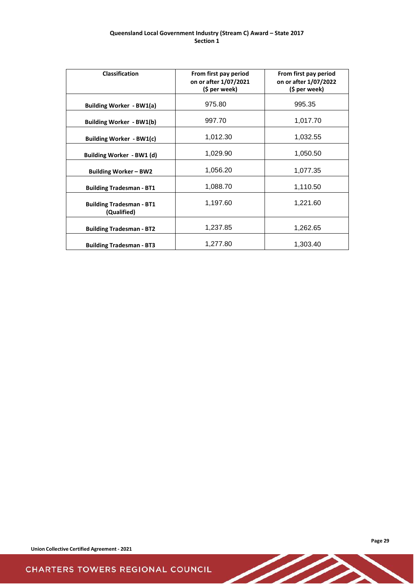### **Queensland Local Government Industry (Stream C) Award – State 2017 Section 1**

| <b>Classification</b>                          | From first pay period<br>on or after 1/07/2021<br>(\$ per week) | From first pay period<br>on or after 1/07/2022<br>(\$ per week) |
|------------------------------------------------|-----------------------------------------------------------------|-----------------------------------------------------------------|
| Building Worker - BW1(a)                       | 975.80                                                          | 995.35                                                          |
| Building Worker - BW1(b)                       | 997.70                                                          | 1,017.70                                                        |
| Building Worker - BW1(c)                       | 1,012.30                                                        | 1,032.55                                                        |
| Building Worker - BW1 (d)                      | 1,029.90                                                        | 1,050.50                                                        |
| <b>Building Worker - BW2</b>                   | 1,056.20                                                        | 1,077.35                                                        |
| <b>Building Tradesman - BT1</b>                | 1,088.70                                                        | 1,110.50                                                        |
| <b>Building Tradesman - BT1</b><br>(Qualified) | 1,197.60                                                        | 1,221.60                                                        |
| <b>Building Tradesman - BT2</b>                | 1,237.85                                                        | 1,262.65                                                        |
| <b>Building Tradesman - BT3</b>                | 1,277.80                                                        | 1,303.40                                                        |

D-

**Union Collective Certified Agreement - 2021**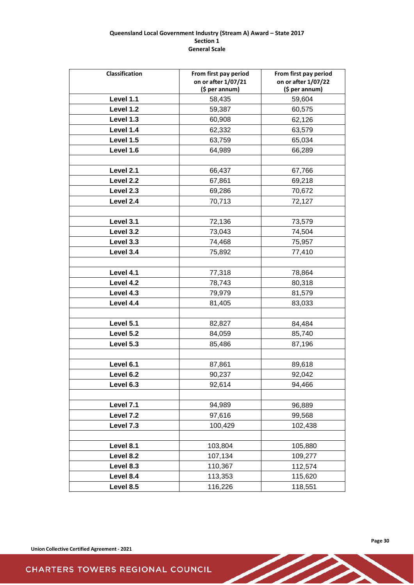### **Queensland Local Government Industry (Stream A) Award – State 2017 Section 1 General Scale**

| Classification | From first pay period<br>on or after 1/07/21<br>(\$ per annum) | From first pay period<br>on or after 1/07/22<br>(\$ per annum) |
|----------------|----------------------------------------------------------------|----------------------------------------------------------------|
| Level 1.1      | 58,435                                                         | 59,604                                                         |
| Level 1.2      | 59,387                                                         | 60,575                                                         |
| Level 1.3      | 60,908                                                         | 62,126                                                         |
| Level 1.4      | 62,332                                                         | 63,579                                                         |
| Level 1.5      | 63,759                                                         | 65,034                                                         |
| Level 1.6      | 64,989                                                         | 66,289                                                         |
|                |                                                                |                                                                |
| Level 2.1      | 66,437                                                         | 67,766                                                         |
| Level 2.2      | 67,861                                                         | 69,218                                                         |
| Level 2.3      | 69,286                                                         | 70,672                                                         |
| Level 2.4      | 70,713                                                         | 72,127                                                         |
|                |                                                                |                                                                |
| Level 3.1      | 72,136                                                         | 73,579                                                         |
| Level 3.2      | 73,043                                                         | 74,504                                                         |
| Level 3.3      | 74,468                                                         | 75,957                                                         |
| Level 3.4      | 75,892                                                         | 77,410                                                         |
|                |                                                                |                                                                |
| Level 4.1      | 77,318                                                         | 78,864                                                         |
| Level 4.2      | 78,743                                                         | 80,318                                                         |
| Level 4.3      | 79,979                                                         | 81,579                                                         |
| Level 4.4      | 81,405                                                         | 83,033                                                         |
|                |                                                                |                                                                |
| Level 5.1      | 82,827                                                         | 84,484                                                         |
| Level 5.2      | 84,059                                                         | 85,740                                                         |
| Level 5.3      | 85,486                                                         | 87,196                                                         |
|                |                                                                |                                                                |
| Level 6.1      | 87,861                                                         | 89,618                                                         |
| Level 6.2      | 90,237                                                         | 92,042                                                         |
| Level 6.3      | 92,614                                                         | 94,466                                                         |
|                |                                                                |                                                                |
| Level 7.1      | 94,989                                                         | 96,889                                                         |
| Level 7.2      | 97,616                                                         | 99,568                                                         |
| Level 7.3      | 100,429                                                        | 102,438                                                        |
|                |                                                                |                                                                |
| Level 8.1      | 103,804                                                        | 105,880                                                        |
| Level 8.2      | 107,134                                                        | 109,277                                                        |
| Level 8.3      | 110,367                                                        | 112,574                                                        |
| Level 8.4      | 113,353                                                        | 115,620                                                        |
| Level 8.5      | 116,226                                                        | 118,551                                                        |

D-

**Union Collective Certified Agreement - 2021**

**Page 30**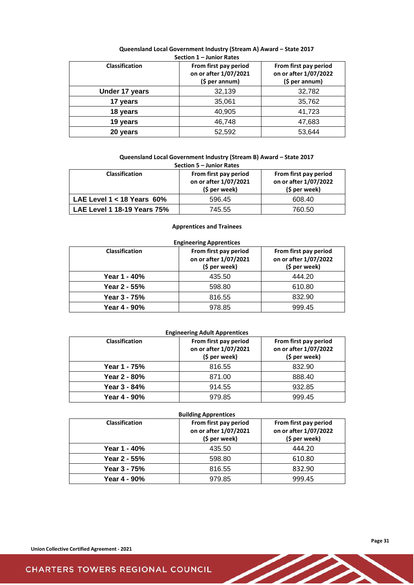| <b>Classification</b> | From first pay period<br>on or after 1/07/2021<br>$(5$ per annum) | From first pay period<br>on or after 1/07/2022<br>$(5$ per annum) |
|-----------------------|-------------------------------------------------------------------|-------------------------------------------------------------------|
| Under 17 years        | 32,139                                                            | 32,782                                                            |
| 17 years              | 35,061                                                            | 35,762                                                            |
| 18 years              | 40,905                                                            | 41,723                                                            |
| 19 years              | 46,748                                                            | 47,683                                                            |
| 20 years              | 52,592                                                            | 53.644                                                            |

#### **Queensland Local Government Industry (Stream A) Award – State 2017 Section 1 – Junior Rates**

# **Queensland Local Government Industry (Stream B) Award – State 2017**

| Section 5 – Junior Rates        |                                                                 |                                                                 |  |  |  |  |  |
|---------------------------------|-----------------------------------------------------------------|-----------------------------------------------------------------|--|--|--|--|--|
| <b>Classification</b>           | From first pay period<br>on or after 1/07/2021<br>(\$ per week) | From first pay period<br>on or after 1/07/2022<br>(\$ per week) |  |  |  |  |  |
| LAE Level $1 < 18$ Years $60\%$ | 596.45                                                          | 608.40                                                          |  |  |  |  |  |
| LAE Level 1 18-19 Years 75%     | 745.55                                                          | 760.50                                                          |  |  |  |  |  |

### **Apprentices and Trainees**

# **Engineering Apprentices**

| <b>Classification</b> | From first pay period<br>on or after 1/07/2021<br>(\$ per week) | From first pay period<br>on or after 1/07/2022<br>(\$ per week) |  |
|-----------------------|-----------------------------------------------------------------|-----------------------------------------------------------------|--|
| Year 1 - 40%          | 435.50                                                          | 444.20                                                          |  |
| Year 2 - 55%          | 598.80                                                          | 610.80                                                          |  |
| Year 3 - 75%          | 816.55                                                          | 832.90                                                          |  |
| Year 4 - 90%          | 978.85                                                          | 999.45                                                          |  |

### **Engineering Adult Apprentices**

| <b>Classification</b> | From first pay period<br>on or after 1/07/2021<br>(\$ per week) | From first pay period<br>on or after 1/07/2022<br>(\$ per week) |
|-----------------------|-----------------------------------------------------------------|-----------------------------------------------------------------|
| Year 1 - 75%          | 816.55                                                          | 832.90                                                          |
| Year 2 - 80%          | 871.00                                                          | 888.40                                                          |
| Year 3 - 84%          | 914.55                                                          | 932.85                                                          |
| Year 4 - 90%          | 979.85                                                          | 999.45                                                          |

| <b>Building Apprentices</b> |                                                                 |                                                                 |  |  |  |  |  |
|-----------------------------|-----------------------------------------------------------------|-----------------------------------------------------------------|--|--|--|--|--|
| <b>Classification</b>       | From first pay period<br>on or after 1/07/2021<br>(\$ per week) | From first pay period<br>on or after 1/07/2022<br>(\$ per week) |  |  |  |  |  |
| Year 1 - 40%                | 435.50                                                          | 444.20                                                          |  |  |  |  |  |
| Year 2 - 55%                | 598.80                                                          | 610.80                                                          |  |  |  |  |  |
| Year 3 - 75%                | 816.55                                                          | 832.90                                                          |  |  |  |  |  |
| Year 4 - 90%                | 979.85                                                          | 999.45                                                          |  |  |  |  |  |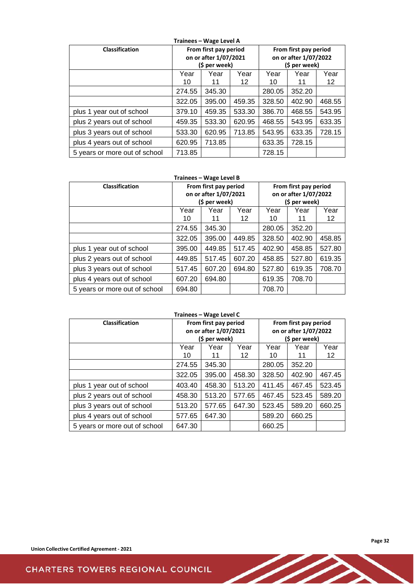| <b>Classification</b>         | From first pay period<br>on or after 1/07/2021<br>(\$ per week) |        |        | From first pay period<br>on or after 1/07/2022<br>(\$ per week) |            |            |
|-------------------------------|-----------------------------------------------------------------|--------|--------|-----------------------------------------------------------------|------------|------------|
|                               | Year<br>Year<br>Year<br>12<br>10<br>11                          |        |        | Year<br>10                                                      | Year<br>11 | Year<br>12 |
|                               | 274.55<br>345.30                                                |        |        | 280.05                                                          | 352.20     |            |
|                               | 322.05                                                          | 395.00 | 459.35 | 328.50                                                          | 402.90     | 468.55     |
| plus 1 year out of school     | 379.10                                                          | 459.35 | 533.30 | 386.70                                                          | 468.55     | 543.95     |
| plus 2 years out of school    | 459.35                                                          | 533.30 | 620.95 | 468.55                                                          | 543.95     | 633.35     |
| plus 3 years out of school    | 533.30                                                          | 620.95 | 713.85 | 543.95                                                          | 633.35     | 728.15     |
| plus 4 years out of school    | 620.95                                                          | 713.85 |        | 633.35                                                          | 728.15     |            |
| 5 years or more out of school | 713.85                                                          |        |        | 728.15                                                          |            |            |

#### **Trainees – Wage Level B**

| <b>Classification</b>         | From first pay period<br>on or after 1/07/2021<br>(\$ per week) |            |            | From first pay period<br>on or after 1/07/2022<br>(\$ per week) |            |            |
|-------------------------------|-----------------------------------------------------------------|------------|------------|-----------------------------------------------------------------|------------|------------|
|                               | Year<br>10                                                      | Year<br>11 | Year<br>12 | Year<br>10                                                      | Year<br>11 | Year<br>12 |
|                               | 345.30<br>274.55                                                |            |            | 280.05                                                          | 352.20     |            |
|                               | 322.05                                                          | 395.00     | 449.85     | 328.50                                                          | 402.90     | 458.85     |
| plus 1 year out of school     | 395.00                                                          | 449.85     | 517.45     | 402.90                                                          | 458.85     | 527.80     |
| plus 2 years out of school    | 449.85                                                          | 517.45     | 607.20     | 458.85                                                          | 527.80     | 619.35     |
| plus 3 years out of school    | 517.45                                                          | 607.20     | 694.80     | 527.80                                                          | 619.35     | 708.70     |
| plus 4 years out of school    | 607.20                                                          | 694.80     |            | 619.35                                                          | 708.70     |            |
| 5 years or more out of school | 694.80                                                          |            |            | 708.70                                                          |            |            |

# **Trainees – Wage Level C**

| Classification                | From first pay period<br>on or after 1/07/2021<br>(\$ per week) |            |            | From first pay period<br>on or after 1/07/2022<br>(\$ per week) |            |            |
|-------------------------------|-----------------------------------------------------------------|------------|------------|-----------------------------------------------------------------|------------|------------|
|                               | Year<br>10                                                      | Year<br>11 | Year<br>12 | Year<br>10                                                      | Year<br>11 | Year<br>12 |
|                               | 274.55                                                          | 345.30     |            | 280.05                                                          | 352.20     |            |
|                               | 322.05                                                          | 395.00     | 458.30     | 328.50                                                          | 402.90     | 467.45     |
| plus 1 year out of school     | 403.40                                                          | 458.30     | 513.20     | 411.45                                                          | 467.45     | 523.45     |
| plus 2 years out of school    | 458.30                                                          | 513.20     | 577.65     | 467.45                                                          | 523.45     | 589.20     |
| plus 3 years out of school    | 513.20                                                          | 577.65     | 647.30     | 523.45                                                          | 589.20     | 660.25     |
| plus 4 years out of school    | 577.65                                                          | 647.30     |            | 589.20                                                          | 660.25     |            |
| 5 years or more out of school | 647.30                                                          |            |            | 660.25                                                          |            |            |

Z - C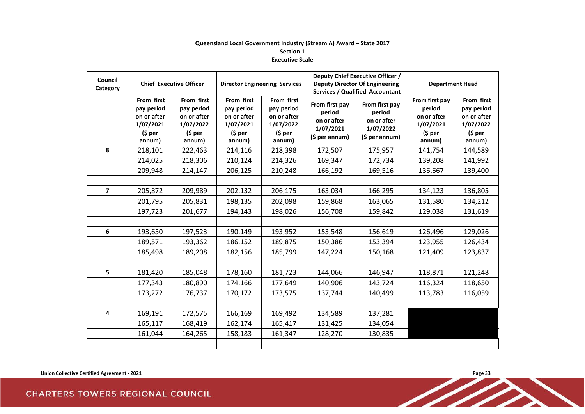### **Queensland Local Government Industry (Stream A) Award – State 2017 Section 1 Executive Scale**

| Council<br>Category |                                                                             | <b>Chief Executive Officer</b>                                              | <b>Director Engineering Services</b>                                        |                                                                                   | Deputy Chief Executive Officer /<br><b>Deputy Director Of Engineering</b><br><b>Services / Qualified Accountant</b> |                                                                       | <b>Department Head</b>                                                            |                                                                             |
|---------------------|-----------------------------------------------------------------------------|-----------------------------------------------------------------------------|-----------------------------------------------------------------------------|-----------------------------------------------------------------------------------|---------------------------------------------------------------------------------------------------------------------|-----------------------------------------------------------------------|-----------------------------------------------------------------------------------|-----------------------------------------------------------------------------|
|                     | From first<br>pay period<br>on or after<br>1/07/2021<br>$(5 per)$<br>annum) | From first<br>pay period<br>on or after<br>1/07/2022<br>$(5 per)$<br>annum) | From first<br>pay period<br>on or after<br>1/07/2021<br>$(5 per)$<br>annum) | From first<br>pay period<br>on or after<br>1/07/2022<br>( <i>5</i> per)<br>annum) | From first pay<br>period<br>on or after<br>1/07/2021<br>(\$ per annum)                                              | From first pay<br>period<br>on or after<br>1/07/2022<br>(5 per annum) | From first pay<br>period<br>on or after<br>1/07/2021<br>( <i>5</i> per)<br>annum) | From first<br>pay period<br>on or after<br>1/07/2022<br>$(5 per)$<br>annum) |
| 8                   | 218,101                                                                     | 222,463                                                                     | 214,116                                                                     | 218,398                                                                           | 172,507                                                                                                             | 175,957                                                               | 141,754                                                                           | 144,589                                                                     |
|                     | 214,025                                                                     | 218,306                                                                     | 210,124                                                                     | 214,326                                                                           | 169,347                                                                                                             | 172,734                                                               | 139,208                                                                           | 141,992                                                                     |
|                     | 209,948                                                                     | 214,147                                                                     | 206,125                                                                     | 210,248                                                                           | 166,192                                                                                                             | 169,516                                                               | 136,667                                                                           | 139,400                                                                     |
|                     |                                                                             |                                                                             |                                                                             |                                                                                   |                                                                                                                     |                                                                       |                                                                                   |                                                                             |
| $\overline{7}$      | 205,872                                                                     | 209,989                                                                     | 202,132                                                                     | 206,175                                                                           | 163,034                                                                                                             | 166,295                                                               | 134,123                                                                           | 136,805                                                                     |
|                     | 201,795                                                                     | 205,831                                                                     | 198,135                                                                     | 202,098                                                                           | 159,868                                                                                                             | 163,065                                                               | 131,580                                                                           | 134,212                                                                     |
|                     | 197,723                                                                     | 201,677                                                                     | 194,143                                                                     | 198,026                                                                           | 156,708                                                                                                             | 159,842                                                               | 129,038                                                                           | 131,619                                                                     |
|                     |                                                                             |                                                                             |                                                                             |                                                                                   |                                                                                                                     |                                                                       |                                                                                   |                                                                             |
| 6                   | 193,650                                                                     | 197,523                                                                     | 190,149                                                                     | 193,952                                                                           | 153,548                                                                                                             | 156,619                                                               | 126,496                                                                           | 129,026                                                                     |
|                     | 189,571                                                                     | 193,362                                                                     | 186,152                                                                     | 189,875                                                                           | 150,386                                                                                                             | 153,394                                                               | 123,955                                                                           | 126,434                                                                     |
|                     | 185,498                                                                     | 189,208                                                                     | 182,156                                                                     | 185,799                                                                           | 147,224                                                                                                             | 150,168                                                               | 121,409                                                                           | 123,837                                                                     |
|                     |                                                                             |                                                                             |                                                                             |                                                                                   |                                                                                                                     |                                                                       |                                                                                   |                                                                             |
| 5                   | 181,420                                                                     | 185,048                                                                     | 178,160                                                                     | 181,723                                                                           | 144,066                                                                                                             | 146,947                                                               | 118,871                                                                           | 121,248                                                                     |
|                     | 177,343                                                                     | 180,890                                                                     | 174,166                                                                     | 177,649                                                                           | 140,906                                                                                                             | 143,724                                                               | 116,324                                                                           | 118,650                                                                     |
|                     | 173,272                                                                     | 176,737                                                                     | 170,172                                                                     | 173,575                                                                           | 137,744                                                                                                             | 140,499                                                               | 113,783                                                                           | 116,059                                                                     |
|                     |                                                                             |                                                                             |                                                                             |                                                                                   |                                                                                                                     |                                                                       |                                                                                   |                                                                             |
| 4                   | 169,191                                                                     | 172,575                                                                     | 166,169                                                                     | 169,492                                                                           | 134,589                                                                                                             | 137,281                                                               |                                                                                   |                                                                             |
|                     | 165,117                                                                     | 168,419                                                                     | 162,174                                                                     | 165,417                                                                           | 131,425                                                                                                             | 134,054                                                               |                                                                                   |                                                                             |
|                     | 161,044                                                                     | 164,265                                                                     | 158,183                                                                     | 161,347                                                                           | 128,270                                                                                                             | 130,835                                                               |                                                                                   |                                                                             |
|                     |                                                                             |                                                                             |                                                                             |                                                                                   |                                                                                                                     |                                                                       |                                                                                   |                                                                             |

**Discription Collective Certified Agreement - 2021**<br>
ARTERS TOWERS REGIONAL COUNCIL **CHARTERS TOWERS REGIONAL COUNCIL**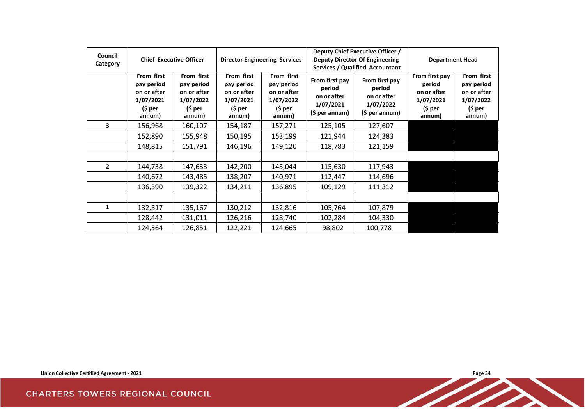| Council<br>Category | <b>Chief Executive Officer</b>                                            |                                                                           | <b>Director Engineering Services</b>                                      |                                                                           |                                                                        | Deputy Chief Executive Officer /<br><b>Deputy Director Of Engineering</b><br><b>Services / Qualified Accountant</b> | <b>Department Head</b>                                                    |                                                                           |
|---------------------|---------------------------------------------------------------------------|---------------------------------------------------------------------------|---------------------------------------------------------------------------|---------------------------------------------------------------------------|------------------------------------------------------------------------|---------------------------------------------------------------------------------------------------------------------|---------------------------------------------------------------------------|---------------------------------------------------------------------------|
|                     | From first<br>pay period<br>on or after<br>1/07/2021<br>(\$ per<br>annum) | From first<br>pay period<br>on or after<br>1/07/2022<br>(\$ per<br>annum) | From first<br>pay period<br>on or after<br>1/07/2021<br>(\$ per<br>annum) | From first<br>pay period<br>on or after<br>1/07/2022<br>(\$ per<br>annum) | From first pay<br>period<br>on or after<br>1/07/2021<br>(\$ per annum) | From first pay<br>period<br>on or after<br>1/07/2022<br>$($ \$ per annum $)$                                        | From first pay<br>period<br>on or after<br>1/07/2021<br>(\$ per<br>annum) | From first<br>pay period<br>on or after<br>1/07/2022<br>(\$ per<br>annum) |
| 3                   | 156,968                                                                   | 160,107                                                                   | 154,187                                                                   | 157,271                                                                   | 125,105                                                                | 127,607                                                                                                             |                                                                           |                                                                           |
|                     | 152,890                                                                   | 155,948                                                                   | 150,195                                                                   | 153,199                                                                   | 121,944                                                                | 124,383                                                                                                             |                                                                           |                                                                           |
|                     | 148,815                                                                   | 151,791                                                                   | 146,196                                                                   | 149,120                                                                   | 118,783                                                                | 121,159                                                                                                             |                                                                           |                                                                           |
|                     |                                                                           |                                                                           |                                                                           |                                                                           |                                                                        |                                                                                                                     |                                                                           |                                                                           |
| $\overline{2}$      | 144,738                                                                   | 147,633                                                                   | 142,200                                                                   | 145,044                                                                   | 115,630                                                                | 117,943                                                                                                             |                                                                           |                                                                           |
|                     | 140,672                                                                   | 143,485                                                                   | 138,207                                                                   | 140,971                                                                   | 112,447                                                                | 114,696                                                                                                             |                                                                           |                                                                           |
|                     | 136,590                                                                   | 139,322                                                                   | 134,211                                                                   | 136,895                                                                   | 109,129                                                                | 111,312                                                                                                             |                                                                           |                                                                           |
|                     |                                                                           |                                                                           |                                                                           |                                                                           |                                                                        |                                                                                                                     |                                                                           |                                                                           |
| $\mathbf{1}$        | 132,517                                                                   | 135,167                                                                   | 130,212                                                                   | 132,816                                                                   | 105,764                                                                | 107,879                                                                                                             |                                                                           |                                                                           |
|                     | 128,442                                                                   | 131,011                                                                   | 126,216                                                                   | 128,740                                                                   | 102,284                                                                | 104,330                                                                                                             |                                                                           |                                                                           |
|                     | 124,364                                                                   | 126,851                                                                   | 122,221                                                                   | 124,665                                                                   | 98,802                                                                 | 100,778                                                                                                             |                                                                           |                                                                           |

**Discription Collective Certified Agreement - 2021**<br> **ARTERS TOWERS REGIONAL COUNCIL CHARTERS TOWERS REGIONAL COUNCIL** 

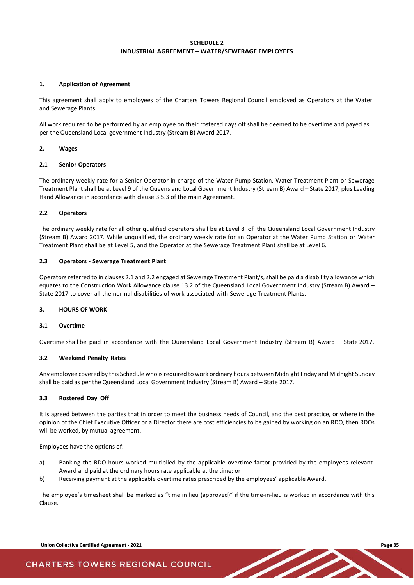### **SCHEDULE 2 INDUSTRIAL AGREEMENT – WATER/SEWERAGE EMPLOYEES**

#### <span id="page-36-0"></span>**1. Application of Agreement**

This agreement shall apply to employees of the Charters Towers Regional Council employed as Operators at the Water and Sewerage Plants.

All work required to be performed by an employee on their rostered days off shall be deemed to be overtime and payed as per the Queensland Local government Industry (Stream B) Award 2017.

#### **2. Wages**

#### **2.1 Senior Operators**

The ordinary weekly rate for a Senior Operator in charge of the Water Pump Station, Water Treatment Plant or Sewerage Treatment Plant shall be at Level 9 of the Queensland Local Government Industry (Stream B) Award – State 2017, plus Leading Hand Allowance in accordance with clause 3.5.3 of the main Agreement.

#### **2.2 Operators**

The ordinary weekly rate for all other qualified operators shall be at Level 8 of the Queensland Local Government Industry (Stream B) Award 2017. While unqualified, the ordinary weekly rate for an Operator at the Water Pump Station or Water Treatment Plant shall be at Level 5, and the Operator at the Sewerage Treatment Plant shall be at Level 6.

#### **2.3 Operators - Sewerage Treatment Plant**

Operators referred to in clauses 2.1 and 2.2 engaged at Sewerage Treatment Plant/s, shall be paid a disability allowance which equates to the Construction Work Allowance clause 13.2 of the Queensland Local Government Industry (Stream B) Award – State 2017 to cover all the normal disabilities of work associated with Sewerage Treatment Plants.

#### **3. HOURS OF WORK**

#### **3.1 Overtime**

Overtime shall be paid in accordance with the Queensland Local Government Industry (Stream B) Award – State 2017.

#### **3.2 Weekend Penalty Rates**

Any employee covered by this Schedule who is required to work ordinary hours between Midnight Friday and Midnight Sunday shall be paid as per the Queensland Local Government Industry (Stream B) Award – State 2017.

#### **3.3 Rostered Day Off**

It is agreed between the parties that in order to meet the business needs of Council, and the best practice, or where in the opinion of the Chief Executive Officer or a Director there are cost efficiencies to be gained by working on an RDO, then RDOs will be worked, by mutual agreement.

Employees have the options of:

- a) Banking the RDO hours worked multiplied by the applicable overtime factor provided by the employees relevant Award and paid at the ordinary hours rate applicable at the time; or
- b) Receiving payment at the applicable overtime rates prescribed by the employees' applicable Award.

The employee's timesheet shall be marked as "time in lieu (approved)" if the time-in-lieu is worked in accordance with this Clause.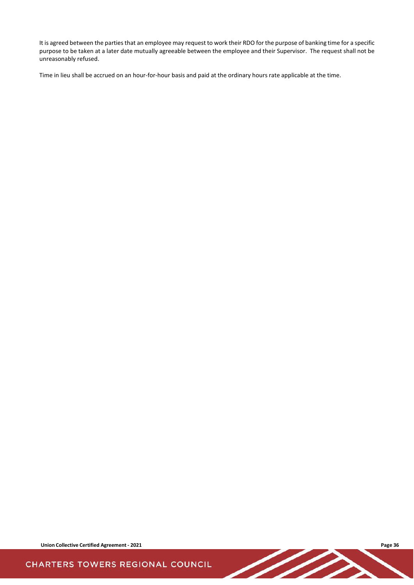It is agreed between the parties that an employee may request to work their RDO for the purpose of banking time for a specific purpose to be taken at a later date mutually agreeable between the employee and their Supervisor. The request shall not be unreasonably refused.

Time in lieu shall be accrued on an hour-for-hour basis and paid at the ordinary hours rate applicable at the time.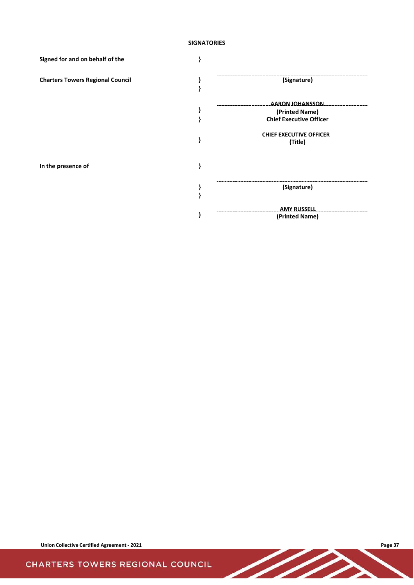### **SIGNATORIES**

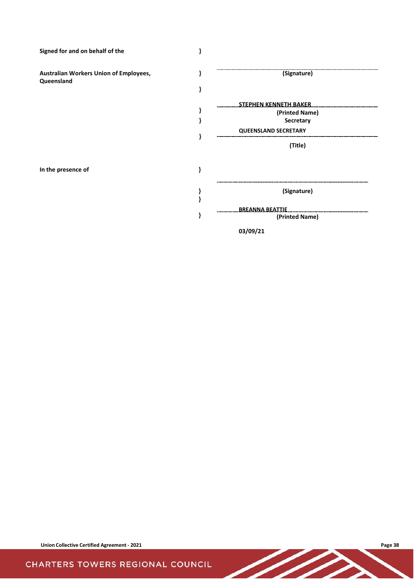**Signed for and on behalf of the }**

**Australian Workers Union of Employees, Queensland**

**In the presence of }**



**03/09/21**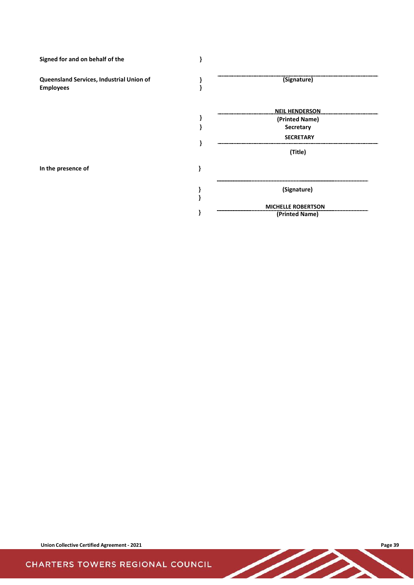**Signed for and on behalf of the } Queensland Services, Industrial Union of Employees } } (Signature) } NEIL HENDERSON (Printed Name) } Secretary } SECRETARY (Title) In the presence of } } (Signature) } } MICHELLE ROBERTSON (Printed Name)**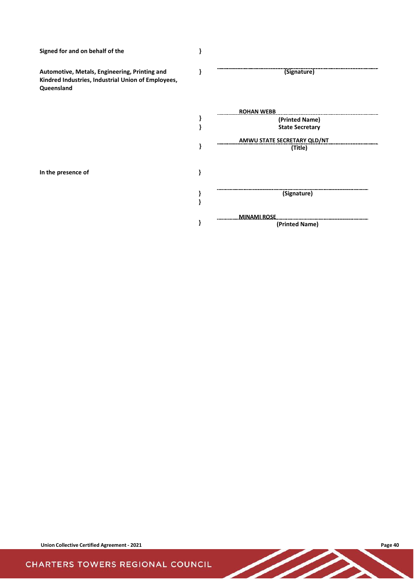**Signed for and on behalf of the }**

**Automotive, Metals, Engineering, Printing and Kindred Industries, Industrial Union of Employees, Queensland**

**} (Signature)**

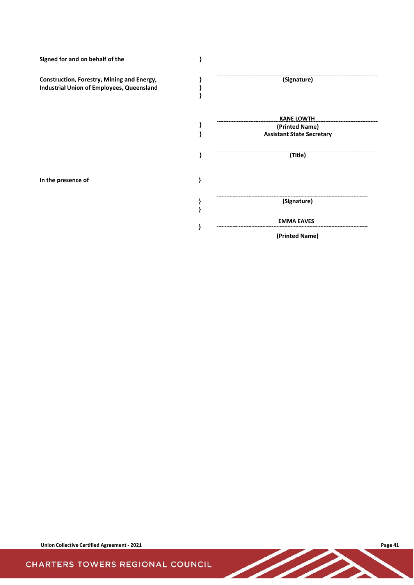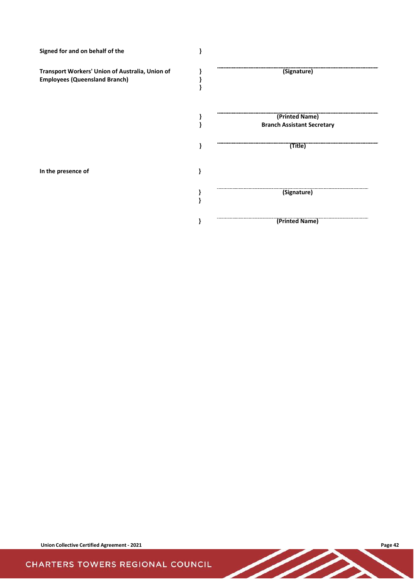